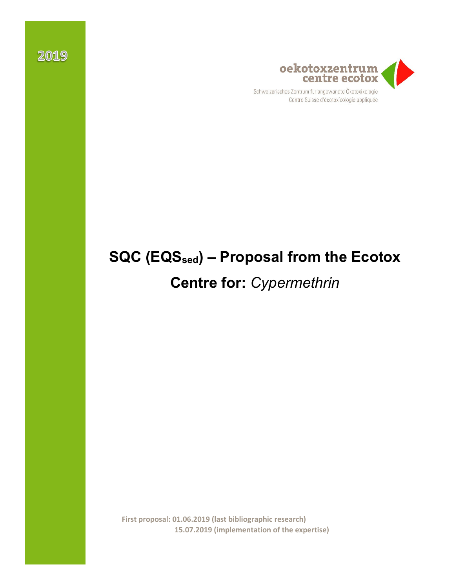

Centre Suisse d'écotoxicologie appliquée

# **SQC (EQSsed) – Proposal from the Ecotox**

# **Centre for:** *Cypermethrin*

**First proposal: 01.06.2019 (last bibliographic research) 15.07.2019 (implementation of the expertise)**

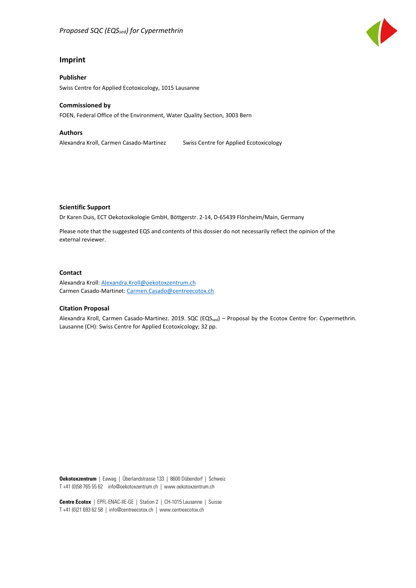

#### **Imprint**

**Publisher** Swiss Centre for Applied Ecotoxicology, 1015 Lausanne

#### **Commissioned by**

FOEN, Federal Office of the Environment, Water Quality Section, 3003 Bern

#### **Authors**

Alexandra Kroll, Carmen Casado-Martinez Swiss Centre for Applied Ecotoxicology

#### **Scientific Support**

Dr Karen Duis, ECT Oekotoxikologie GmbH, Böttgerstr. 2-14, D-65439 Flörsheim/Main, Germany

Please note that the suggested EQS and contents of this dossier do not necessarily reflect the opinion of the external reviewer.

#### **Contact**

Alexandra Kroll: [Alexandra.Kroll@oekotoxzentrum.ch](mailto:Alexandra.Kroll@oekotoxzentrum.ch)  Carmen Casado-Martinet: [Carmen.Casado@centreecotox.ch](mailto:Carmen.Casado@centreecotox.ch)

#### **Citation Proposal**

Alexandra Kroll, Carmen Casado-Martinez. 2019. SQC (EQS<sub>sed</sub>) – Proposal by the Ecotox Centre for: Cypermethrin. Lausanne (CH): Swiss Centre for Applied Ecotoxicology; 32 pp.

**Oekotoxzentrum** | Eawag | Überlandstrasse 133 | 8600 Dübendorf | Schweiz T +41 (0)58 765 55 62 info@oekotoxzentrum.ch | www.oekotoxzentrum.ch

**Centre Ecotox** | EPFL-ENAC-IIE-GE | Station 2 | CH-1015 Lausanne | Suisse T +41 (0)21 693 62 58 | info@centreecotox.ch | www.centreecotox.ch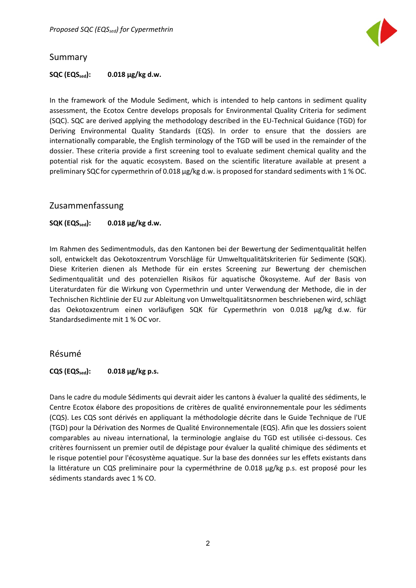

### <span id="page-2-0"></span>Summary

#### **SQC (EQSsed): 0.018 µg/kg d.w.**

In the framework of the Module Sediment, which is intended to help cantons in sediment quality assessment, the Ecotox Centre develops proposals for Environmental Quality Criteria for sediment (SQC). SQC are derived applying the methodology described in the EU-Technical Guidance (TGD) for Deriving Environmental Quality Standards (EQS). In order to ensure that the dossiers are internationally comparable, the English terminology of the TGD will be used in the remainder of the dossier. These criteria provide a first screening tool to evaluate sediment chemical quality and the potential risk for the aquatic ecosystem. Based on the scientific literature available at present a preliminary SQC for cypermethrin of 0.018 µg/kg d.w. is proposed for standard sediments with 1 % OC.

### <span id="page-2-1"></span>Zusammenfassung

### **SQK (EQS**<sub>sed</sub>): **0.018** μg/kg d.w.

Im Rahmen des Sedimentmoduls, das den Kantonen bei der Bewertung der Sedimentqualität helfen soll, entwickelt das Oekotoxzentrum Vorschläge für Umweltqualitätskriterien für Sedimente (SQK). Diese Kriterien dienen als Methode für ein erstes Screening zur Bewertung der chemischen Sedimentqualität und des potenziellen Risikos für aquatische Ökosysteme. Auf der Basis von Literaturdaten für die Wirkung von Cypermethrin und unter Verwendung der Methode, die in der Technischen Richtlinie der EU zur Ableitung von Umweltqualitätsnormen beschriebenen wird, schlägt das Oekotoxzentrum einen vorläufigen SQK für Cypermethrin von 0.018 µg/kg d.w. für Standardsedimente mit 1 % OC vor.

### <span id="page-2-2"></span>Résumé

#### $CQS$  ( $EQS_{sed}$ ): 0.018  $\mu$ g/kg p.s.

Dans le cadre du module Sédiments qui devrait aider les cantons à évaluer la qualité des sédiments, le Centre Ecotox élabore des propositions de critères de qualité environnementale pour les sédiments (CQS). Les CQS sont dérivés en appliquant la méthodologie décrite dans le Guide Technique de l'UE (TGD) pour la Dérivation des Normes de Qualité Environnementale (EQS). Afin que les dossiers soient comparables au niveau international, la terminologie anglaise du TGD est utilisée ci-dessous. Ces critères fournissent un premier outil de dépistage pour évaluer la qualité chimique des sédiments et le risque potentiel pour l'écosystème aquatique. Sur la base des données sur les effets existants dans la littérature un CQS preliminaire pour la cyperméthrine de 0.018 µg/kg p.s. est proposé pour les sédiments standards avec 1 % CO.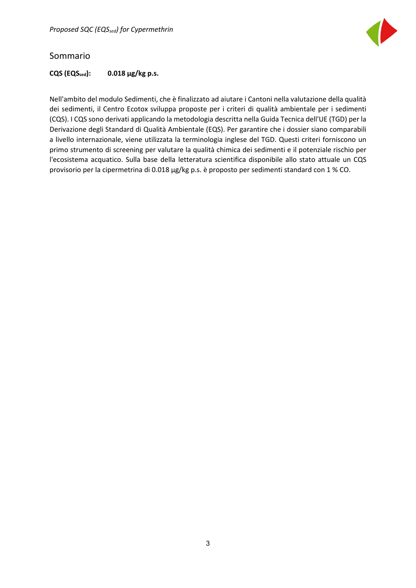

### <span id="page-3-0"></span>Sommario

### $CQS (EQS_{sed}):$  0.018  $\mu$ g/kg p.s.

Nell'ambito del modulo Sedimenti, che è finalizzato ad aiutare i Cantoni nella valutazione della qualità dei sedimenti, il Centro Ecotox sviluppa proposte per i criteri di qualità ambientale per i sedimenti (CQS). I CQS sono derivati applicando la metodologia descritta nella Guida Tecnica dell'UE (TGD) per la Derivazione degli Standard di Qualità Ambientale (EQS). Per garantire che i dossier siano comparabili a livello internazionale, viene utilizzata la terminologia inglese del TGD. Questi criteri forniscono un primo strumento di screening per valutare la qualità chimica dei sedimenti e il potenziale rischio per l'ecosistema acquatico. Sulla base della letteratura scientifica disponibile allo stato attuale un CQS provisorio per la cipermetrina di 0.018 µg/kg p.s. è proposto per sedimenti standard con 1 % CO.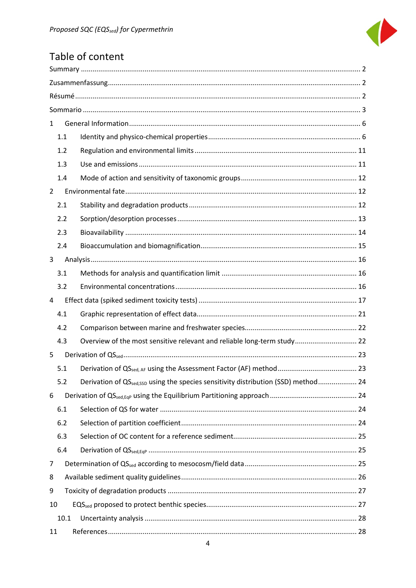

## Table of content

| $\mathbf{1}$   |                                                                                                |
|----------------|------------------------------------------------------------------------------------------------|
| 1.1            |                                                                                                |
| 1.2            |                                                                                                |
| 1.3            |                                                                                                |
| 1.4            |                                                                                                |
| $\overline{2}$ |                                                                                                |
| 2.1            |                                                                                                |
| 2.2            |                                                                                                |
| 2.3            |                                                                                                |
| 2.4            |                                                                                                |
| 3              |                                                                                                |
| 3.1            |                                                                                                |
| 3.2            |                                                                                                |
| 4              |                                                                                                |
| 4.1            |                                                                                                |
| 4.2            |                                                                                                |
| 4.3            | Overview of the most sensitive relevant and reliable long-term study 22                        |
| 5              |                                                                                                |
| 5.1            |                                                                                                |
| 5.2            | Derivation of QS <sub>sed,SSD</sub> using the species sensitivity distribution (SSD) method 24 |
| 6              |                                                                                                |
| 6.1            |                                                                                                |
| $6.2$          |                                                                                                |
| 6.3            |                                                                                                |
| 6.4            |                                                                                                |
| 7              |                                                                                                |
| 8              |                                                                                                |
| 9              |                                                                                                |
| 10             |                                                                                                |
| 10.1           |                                                                                                |
| 11             |                                                                                                |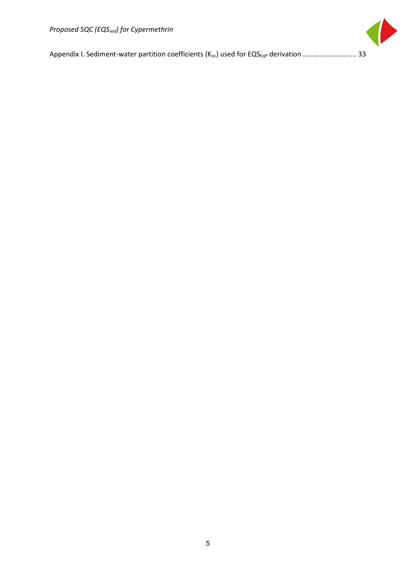

[Appendix I. Sediment-water partition coefficients \(Koc\) used for EQSEqP](#page-33-0) derivation ............................ 33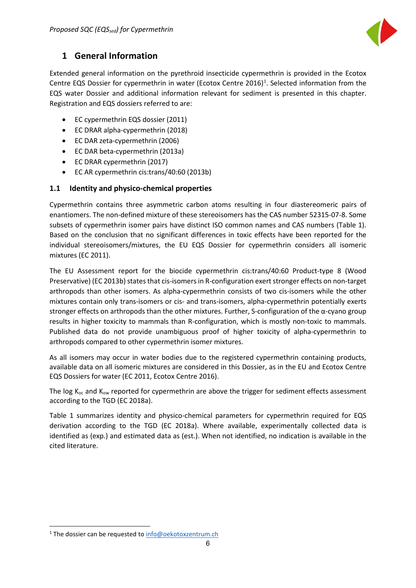

### <span id="page-6-0"></span>**1 General Information**

Extended general information on the pyrethroid insecticide cypermethrin is provided in the Ecotox Centre EQS Dossier for cypermethrin in water (Ecotox Centre 20[1](#page-6-2)6)<sup>1</sup>. Selected information from the EQS water Dossier and additional information relevant for sediment is presented in this chapter. Registration and EQS dossiers referred to are:

- EC cypermethrin EQS dossier (2011)
- EC DRAR alpha-cypermethrin (2018)
- EC DAR zeta-cypermethrin (2006)
- EC DAR beta-cypermethrin (2013a)
- EC DRAR cypermethrin (2017)
- EC AR cypermethrin cis:trans/40:60 (2013b)

### <span id="page-6-1"></span>**1.1 Identity and physico-chemical properties**

Cypermethrin contains three asymmetric carbon atoms resulting in four diastereomeric pairs of enantiomers. The non-defined mixture of these stereoisomers has the CAS number 52315-07-8. Some subsets of cypermethrin isomer pairs have distinct ISO common names and CAS numbers (Table 1). Based on the conclusion that no significant differences in toxic effects have been reported for the individual stereoisomers/mixtures, the EU EQS Dossier for cypermethrin considers all isomeric mixtures (EC 2011).

The EU Assessment report for the biocide cypermethrin cis:trans/40:60 Product-type 8 (Wood Preservative) (EC 2013b) states that cis-isomers in R-configuration exert stronger effects on non-target arthropods than other isomers. As alpha-cypermethrin consists of two cis-isomers while the other mixtures contain only trans-isomers or cis- and trans-isomers, alpha-cypermethrin potentially exerts stronger effects on arthropods than the other mixtures. Further, S-configuration of the α-cyano group results in higher toxicity to mammals than R-configuration, which is mostly non-toxic to mammals. Published data do not provide unambiguous proof of higher toxicity of alpha-cypermethrin to arthropods compared to other cypermethrin isomer mixtures.

As all isomers may occur in water bodies due to the registered cypermethrin containing products, available data on all isomeric mixtures are considered in this Dossier, as in the EU and Ecotox Centre EQS Dossiers for water (EC 2011, Ecotox Centre 2016).

The log  $K_{oc}$  and  $K_{ow}$  reported for cypermethrin are above the trigger for sediment effects assessment according to the TGD (EC 2018a).

Table 1 summarizes identity and physico-chemical parameters for cypermethrin required for EQS derivation according to the TGD (EC 2018a). Where available, experimentally collected data is identified as (exp.) and estimated data as (est.). When not identified, no indication is available in the cited literature.

 $\overline{a}$ 

<span id="page-6-2"></span><sup>&</sup>lt;sup>1</sup> The dossier can be requested to info@oekotoxzentrum.ch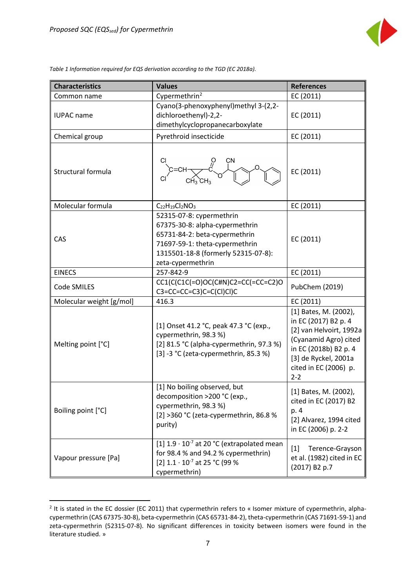$\overline{a}$ 



*Table 1 Information required for EQS derivation according to the TGD (EC 2018a).*

| <b>Characteristics</b>   | <b>Values</b>                                                                                                                                                                             | <b>References</b>                                                                                                                                                                      |
|--------------------------|-------------------------------------------------------------------------------------------------------------------------------------------------------------------------------------------|----------------------------------------------------------------------------------------------------------------------------------------------------------------------------------------|
| Common name              | Cypermethrin <sup>2</sup>                                                                                                                                                                 | EC (2011)                                                                                                                                                                              |
| <b>IUPAC</b> name        | Cyano(3-phenoxyphenyl)methyl 3-(2,2-<br>dichloroethenyl)-2,2-<br>dimethylcyclopropanecarboxylate                                                                                          | EC (2011)                                                                                                                                                                              |
| Chemical group           | Pyrethroid insecticide                                                                                                                                                                    | EC (2011)                                                                                                                                                                              |
| Structural formula       |                                                                                                                                                                                           | EC (2011)                                                                                                                                                                              |
| Molecular formula        | $C_{22}H_{19}Cl_2NO_3$                                                                                                                                                                    | EC (2011)                                                                                                                                                                              |
| CAS                      | 52315-07-8: cypermethrin<br>67375-30-8: alpha-cypermethrin<br>65731-84-2: beta-cypermethrin<br>71697-59-1: theta-cypermethrin<br>1315501-18-8 (formerly 52315-07-8):<br>zeta-cypermethrin | EC (2011)                                                                                                                                                                              |
| <b>EINECS</b>            | 257-842-9                                                                                                                                                                                 | EC (2011)                                                                                                                                                                              |
| Code SMILES              | $CC1(C(C1C(=O)OC(C\#N)C2=CC(=CC=C2)O$<br>$C3 = CC = CC = C3)C = C(C1)Cl(C)$                                                                                                               | PubChem (2019)                                                                                                                                                                         |
| Molecular weight [g/mol] | 416.3                                                                                                                                                                                     | EC (2011)                                                                                                                                                                              |
| Melting point [°C]       | [1] Onset 41.2 °C, peak 47.3 °C (exp.,<br>cypermethrin, 98.3%)<br>[2] 81.5 °C (alpha-cypermethrin, 97.3 %)<br>[3] -3 °C (zeta-cypermethrin, 85.3 %)                                       | [1] Bates, M. (2002),<br>in EC (2017) B2 p. 4<br>[2] van Helvoirt, 1992a<br>(Cyanamid Agro) cited<br>in EC (2018b) B2 p. 4<br>[3] de Ryckel, 2001a<br>cited in EC (2006) p.<br>$2 - 2$ |
| Boiling point [°C]       | [1] No boiling observed, but<br>decomposition >200 °C (exp.,<br>cypermethrin, 98.3 %)<br>[2] >360 °C (zeta-cypermethrin, 86.8 %<br>purity)                                                | [1] Bates, M. (2002),<br>cited in EC (2017) B2<br>p. 4<br>[2] Alvarez, 1994 cited<br>in EC (2006) p. 2-2                                                                               |
| Vapour pressure [Pa]     | [1] $1.9 \cdot 10^{-7}$ at 20 °C (extrapolated mean<br>for 98.4 % and 94.2 % cypermethrin)<br>[2] $1.1 \cdot 10^{-7}$ at 25 °C (99 %<br>cypermethrin)                                     | $[1]$<br>Terence-Grayson<br>et al. (1982) cited in EC<br>(2017) B2 p.7                                                                                                                 |

<span id="page-7-0"></span> $2$  It is stated in the EC dossier (EC 2011) that cypermethrin refers to « Isomer mixture of cypermethrin, alphacypermethrin (CAS 67375-30-8), beta-cypermethrin (CAS 65731-84-2), theta-cypermethrin (CAS 71691-59-1) and zeta-cypermethrin (52315-07-8). No significant differences in toxicity between isomers were found in the literature studied. »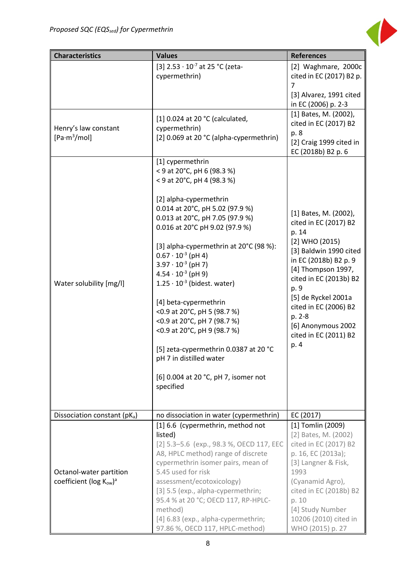

| <b>Characteristics</b>                           | <b>Values</b>                                                                                                                                                               | <b>References</b>                                                                                                             |  |  |  |
|--------------------------------------------------|-----------------------------------------------------------------------------------------------------------------------------------------------------------------------------|-------------------------------------------------------------------------------------------------------------------------------|--|--|--|
|                                                  | [3] $2.53 \cdot 10^{-7}$ at 25 °C (zeta-<br>cypermethrin)                                                                                                                   | [2] Waghmare, 2000c<br>cited in EC (2017) B2 p.<br>7                                                                          |  |  |  |
|                                                  |                                                                                                                                                                             | [3] Alvarez, 1991 cited<br>in EC (2006) p. 2-3                                                                                |  |  |  |
| Henry's law constant<br>[Pa·m <sup>3</sup> /mol] | [1] 0.024 at 20 °C (calculated,<br>cypermethrin)<br>[2] 0.069 at 20 °C (alpha-cypermethrin)                                                                                 | [1] Bates, M. (2002),<br>cited in EC (2017) B2<br>p. 8<br>[2] Craig 1999 cited in<br>EC (2018b) B2 p. 6                       |  |  |  |
|                                                  | [1] cypermethrin<br>< 9 at 20°C, pH 6 (98.3 %)<br>< 9 at 20°C, pH 4 (98.3 %)                                                                                                |                                                                                                                               |  |  |  |
|                                                  | [2] alpha-cypermethrin<br>0.014 at 20°C, pH 5.02 (97.9 %)<br>0.013 at 20°C, pH 7.05 (97.9 %)<br>0.016 at 20°C pH 9.02 (97.9 %)                                              | [1] Bates, M. (2002),<br>cited in EC (2017) B2<br>p. 14                                                                       |  |  |  |
| Water solubility [mg/l]                          | [3] alpha-cypermethrin at 20°C (98 %):<br>$0.67 \cdot 10^{-3}$ (pH 4)<br>$3.97 \cdot 10^{-3}$ (pH 7)<br>$4.54 \cdot 10^{-3}$ (pH 9)<br>$1.25 \cdot 10^{-3}$ (bidest. water) | $[2]$ WHO $(2015)$<br>[3] Baldwin 1990 cited<br>in EC (2018b) B2 p. 9<br>[4] Thompson 1997,<br>cited in EC (2013b) B2<br>p. 9 |  |  |  |
|                                                  | [4] beta-cypermethrin<br><0.9 at 20°C, pH 5 (98.7 %)<br><0.9 at 20°C, pH 7 (98.7 %)<br><0.9 at 20°C, pH 9 (98.7 %)                                                          | [5] de Ryckel 2001a<br>cited in EC (2006) B2<br>p. 2-8<br>[6] Anonymous 2002<br>cited in EC (2011) B2                         |  |  |  |
|                                                  | [5] zeta-cypermethrin 0.0387 at 20 °C<br>pH 7 in distilled water                                                                                                            | p. 4                                                                                                                          |  |  |  |
|                                                  | [6] 0.004 at 20 °C, pH 7, isomer not<br>specified                                                                                                                           |                                                                                                                               |  |  |  |
| Dissociation constant (pKa)                      | no dissociation in water (cypermethrin)                                                                                                                                     | EC (2017)                                                                                                                     |  |  |  |
|                                                  | [1] 6.6 (cypermethrin, method not                                                                                                                                           | [1] Tomlin (2009)                                                                                                             |  |  |  |
|                                                  | listed)<br>[2] 5.3-5.6 (exp., 98.3 %, OECD 117, EEC<br>A8, HPLC method) range of discrete<br>cypermethrin isomer pairs, mean of                                             | [2] Bates, M. (2002)<br>cited in EC (2017) B2<br>p. 16, EC (2013a);<br>[3] Langner & Fisk,                                    |  |  |  |
| Octanol-water partition                          | 5.45 used for risk                                                                                                                                                          | 1993                                                                                                                          |  |  |  |
| coefficient ( $log K_{ow}$ ) <sup>a</sup>        | assessment/ecotoxicology)                                                                                                                                                   | (Cyanamid Agro),                                                                                                              |  |  |  |
|                                                  | [3] 5.5 (exp., alpha-cypermethrin;<br>95.4 % at 20 °C; OECD 117, RP-HPLC-                                                                                                   | cited in EC (2018b) B2<br>p. 10                                                                                               |  |  |  |
|                                                  | method)                                                                                                                                                                     | [4] Study Number                                                                                                              |  |  |  |
|                                                  | [4] 6.83 (exp., alpha-cypermethrin;<br>97.86 %, OECD 117, HPLC-method)                                                                                                      | 10206 (2010) cited in<br>WHO (2015) p. 27                                                                                     |  |  |  |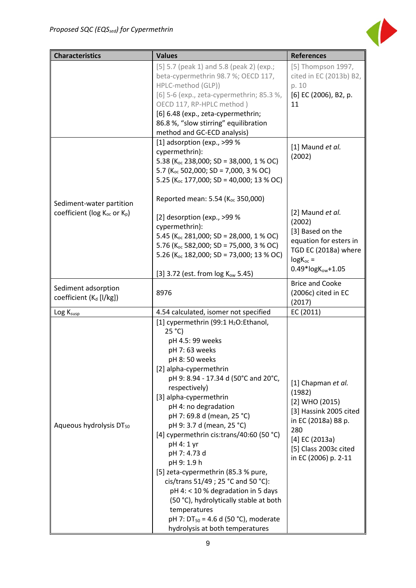

| <b>Characteristics</b>                                                           | <b>Values</b>                                                                                                                                                                                                                                                                                                                                                                                                                                                                                                                                                                                                                                                                    | <b>References</b>                                                                                                                                                           |
|----------------------------------------------------------------------------------|----------------------------------------------------------------------------------------------------------------------------------------------------------------------------------------------------------------------------------------------------------------------------------------------------------------------------------------------------------------------------------------------------------------------------------------------------------------------------------------------------------------------------------------------------------------------------------------------------------------------------------------------------------------------------------|-----------------------------------------------------------------------------------------------------------------------------------------------------------------------------|
|                                                                                  | [5] 5.7 (peak 1) and 5.8 (peak 2) (exp.;<br>beta-cypermethrin 98.7 %; OECD 117,<br>HPLC-method (GLP))<br>[6] 5-6 (exp., zeta-cypermethrin; 85.3 %,<br>OECD 117, RP-HPLC method)<br>[6] 6.48 (exp., zeta-cypermethrin;<br>86.8 %, "slow stirring" equilibration<br>method and GC-ECD analysis)                                                                                                                                                                                                                                                                                                                                                                                    | [5] Thompson 1997,<br>cited in EC (2013b) B2,<br>p. 10<br>[6] EC (2006), B2, p.<br>11                                                                                       |
|                                                                                  | [1] adsorption (exp., >99 %<br>cypermethrin):<br>5.38 ( $K_{oc}$ 238,000; SD = 38,000, 1 % OC)<br>5.7 (K <sub>oc</sub> 502,000; SD = 7,000, 3 % OC)<br>5.25 ( $K_{oc}$ 177,000; SD = 40,000; 13 % OC)<br>Reported mean: 5.54 (K <sub>oc</sub> 350,000)                                                                                                                                                                                                                                                                                                                                                                                                                           | [1] Maund et al.<br>(2002)                                                                                                                                                  |
| Sediment-water partition<br>coefficient (log K <sub>oc</sub> or K <sub>p</sub> ) | [2] desorption (exp., >99 %<br>cypermethrin):<br>5.45 ( $K_{oc}$ 281,000; SD = 28,000, 1 % OC)<br>5.76 ( $K_{oc}$ 582,000; SD = 75,000, 3 % OC)<br>5.26 ( $K_{oc}$ 182,000; SD = 73,000; 13 % OC)<br>[3] 3.72 (est. from log Kow 5.45)                                                                                                                                                                                                                                                                                                                                                                                                                                           | [2] Maund et al.<br>(2002)<br>[3] Based on the<br>equation for esters in<br>TGD EC (2018a) where<br>$log K_{oc}$ =<br>$0.49*$ log $K_{ow}+1.05$                             |
| Sediment adsorption<br>coefficient (K <sub>d</sub> [l/kg])                       | 8976                                                                                                                                                                                                                                                                                                                                                                                                                                                                                                                                                                                                                                                                             | <b>Brice and Cooke</b><br>(2006c) cited in EC<br>(2017)                                                                                                                     |
| Log Ksusp                                                                        | 4.54 calculated, isomer not specified                                                                                                                                                                                                                                                                                                                                                                                                                                                                                                                                                                                                                                            | EC (2011)                                                                                                                                                                   |
| Aqueous hydrolysis DT <sub>50</sub>                                              | [1] cypermethrin (99:1 H <sub>2</sub> O:Ethanol,<br>25 °C<br>pH 4.5: 99 weeks<br>pH 7:63 weeks<br>pH 8:50 weeks<br>[2] alpha-cypermethrin<br>pH 9: 8.94 - 17.34 d (50°C and 20°C,<br>respectively)<br>[3] alpha-cypermethrin<br>pH 4: no degradation<br>pH 7: 69.8 d (mean, 25 °C)<br>pH 9: 3.7 d (mean, 25 °C)<br>[4] cypermethrin cis:trans/40:60 (50 $°C$ )<br>pH 4: 1 yr<br>pH 7: 4.73 d<br>pH 9: 1.9 h<br>[5] zeta-cypermethrin (85.3 % pure,<br>cis/trans 51/49 ; 25 °C and 50 °C):<br>pH 4: < 10 % degradation in 5 days<br>(50 °C), hydrolytically stable at both<br>temperatures<br>pH 7: DT <sub>50</sub> = 4.6 d (50 °C), moderate<br>hydrolysis at both temperatures | [1] Chapman et al.<br>(1982)<br>[2] WHO (2015)<br>[3] Hassink 2005 cited<br>in EC (2018a) B8 p.<br>280<br>$[4]$ EC (2013a)<br>[5] Class 2003c cited<br>in EC (2006) p. 2-11 |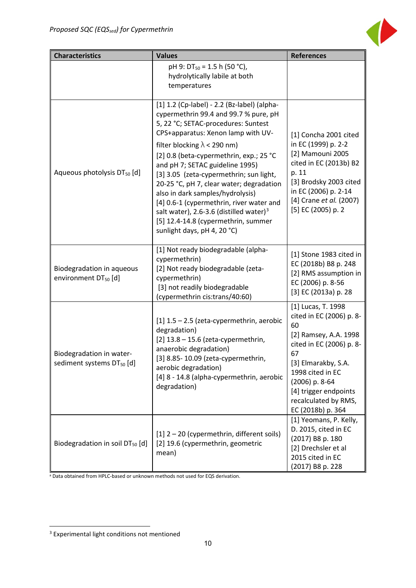

| <b>Characteristics</b>                                        | <b>Values</b>                                                                                                                                                                                                                                                                                                                                                                                                                                                                                                                                                                              | <b>References</b>                                                                                                                                                                                                                                  |  |  |
|---------------------------------------------------------------|--------------------------------------------------------------------------------------------------------------------------------------------------------------------------------------------------------------------------------------------------------------------------------------------------------------------------------------------------------------------------------------------------------------------------------------------------------------------------------------------------------------------------------------------------------------------------------------------|----------------------------------------------------------------------------------------------------------------------------------------------------------------------------------------------------------------------------------------------------|--|--|
|                                                               | pH 9: $DT_{50} = 1.5$ h (50 °C),<br>hydrolytically labile at both<br>temperatures                                                                                                                                                                                                                                                                                                                                                                                                                                                                                                          |                                                                                                                                                                                                                                                    |  |  |
| Aqueous photolysis DT <sub>50</sub> [d]                       | [1] 1.2 (Cp-label) - 2.2 (Bz-label) (alpha-<br>cypermethrin 99.4 and 99.7 % pure, pH<br>5, 22 °C; SETAC-procedures: Suntest<br>CPS+apparatus: Xenon lamp with UV-<br>filter blocking $\lambda$ < 290 nm)<br>[2] 0.8 (beta-cypermethrin, exp.; 25 °C<br>and pH 7; SETAC guideline 1995)<br>[3] 3.05 (zeta-cypermethrin; sun light,<br>20-25 °C, pH 7, clear water; degradation<br>also in dark samples/hydrolysis)<br>[4] 0.6-1 (cypermethrin, river water and<br>salt water), 2.6-3.6 (distilled water) <sup>3</sup><br>[5] 12.4-14.8 (cypermethrin, summer<br>sunlight days, pH 4, 20 °C) | [1] Concha 2001 cited<br>in EC (1999) p. 2-2<br>[2] Mamouni 2005<br>cited in EC (2013b) B2<br>p. 11<br>[3] Brodsky 2003 cited<br>in EC (2006) p. 2-14<br>[4] Crane et al. (2007)<br>[5] EC (2005) p. 2                                             |  |  |
| Biodegradation in aqueous<br>environment DT <sub>50</sub> [d] | [1] Not ready biodegradable (alpha-<br>cypermethrin)<br>[2] Not ready biodegradable (zeta-<br>cypermethrin)<br>[3] not readily biodegradable<br>(cypermethrin cis:trans/40:60)                                                                                                                                                                                                                                                                                                                                                                                                             | [1] Stone 1983 cited in<br>EC (2018b) B8 p. 248<br>[2] RMS assumption in<br>EC (2006) p. 8-56<br>[3] EC (2013a) p. 28                                                                                                                              |  |  |
| Biodegradation in water-<br>sediment systems $DT_{50}$ [d]    | $[1]$ 1.5 - 2.5 (zeta-cypermethrin, aerobic<br>degradation)<br>$[2]$ 13.8 - 15.6 (zeta-cypermethrin,<br>anaerobic degradation)<br>[3] 8.85-10.09 (zeta-cypermethrin,<br>aerobic degradation)<br>[4] 8 - 14.8 (alpha-cypermethrin, aerobic<br>degradation)                                                                                                                                                                                                                                                                                                                                  | [1] Lucas, T. 1998<br>cited in EC (2006) p. 8-<br>60<br>[2] Ramsey, A.A. 1998<br>cited in EC (2006) p. 8-<br>67<br>[3] Elmarakby, S.A.<br>1998 cited in EC<br>(2006) p. 8-64<br>[4] trigger endpoints<br>recalculated by RMS,<br>EC (2018b) p. 364 |  |  |
| Biodegradation in soil DT <sub>50</sub> [d]                   | [1] 2 - 20 (cypermethrin, different soils)<br>[2] 19.6 (cypermethrin, geometric<br>mean)                                                                                                                                                                                                                                                                                                                                                                                                                                                                                                   | [1] Yeomans, P. Kelly,<br>D. 2015, cited in EC<br>(2017) B8 p. 180<br>[2] Drechsler et al<br>2015 cited in EC<br>(2017) B8 p. 228                                                                                                                  |  |  |

<sup>a</sup> Data obtained from HPLC-based or unknown methods not used for EQS derivation.

 $\overline{a}$ 

<span id="page-10-0"></span><sup>&</sup>lt;sup>3</sup> Experimental light conditions not mentioned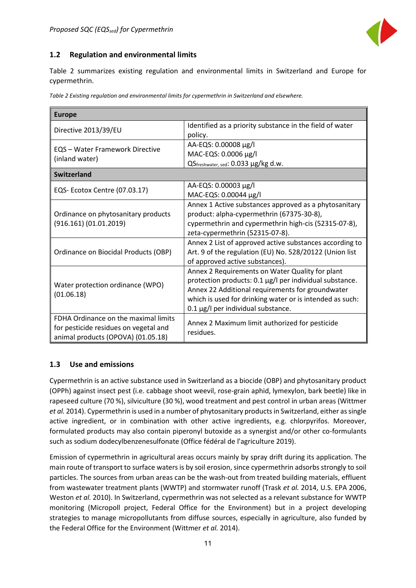

### <span id="page-11-0"></span>**1.2 Regulation and environmental limits**

Table 2 summarizes existing regulation and environmental limits in Switzerland and Europe for cypermethrin.

|  |  | Table 2 Existing regulation and environmental limits for cypermethrin in Switzerland and elsewhere. |  |
|--|--|-----------------------------------------------------------------------------------------------------|--|
|  |  |                                                                                                     |  |

| <b>Europe</b>                                                                                                       |                                                                                                                                                                                                                                                                  |  |  |  |  |  |
|---------------------------------------------------------------------------------------------------------------------|------------------------------------------------------------------------------------------------------------------------------------------------------------------------------------------------------------------------------------------------------------------|--|--|--|--|--|
| Directive 2013/39/EU                                                                                                | Identified as a priority substance in the field of water<br>policy.                                                                                                                                                                                              |  |  |  |  |  |
| <b>EQS</b> - Water Framework Directive<br>(inland water)                                                            | AA-EQS: 0.00008 µg/l<br>MAC-EQS: 0.0006 μg/l<br>QSfreshwater, sed: 0.033 µg/kg d.w.                                                                                                                                                                              |  |  |  |  |  |
| <b>Switzerland</b>                                                                                                  |                                                                                                                                                                                                                                                                  |  |  |  |  |  |
| EQS-Ecotox Centre (07.03.17)                                                                                        | AA-EQS: 0.00003 µg/l<br>MAC-EQS: 0.00044 µg/l                                                                                                                                                                                                                    |  |  |  |  |  |
| Ordinance on phytosanitary products<br>(916.161) (01.01.2019)                                                       | Annex 1 Active substances approved as a phytosanitary<br>product: alpha-cypermethrin (67375-30-8),<br>cypermethrin and cypermethrin high-cis (52315-07-8),<br>zeta-cypermethrin (52315-07-8).                                                                    |  |  |  |  |  |
| Ordinance on Biocidal Products (OBP)                                                                                | Annex 2 List of approved active substances according to<br>Art. 9 of the regulation (EU) No. 528/20122 (Union list<br>of approved active substances).                                                                                                            |  |  |  |  |  |
| Water protection ordinance (WPO)<br>(01.06.18)                                                                      | Annex 2 Requirements on Water Quality for plant<br>protection products: 0.1 µg/l per individual substance.<br>Annex 22 Additional requirements for groundwater<br>which is used for drinking water or is intended as such:<br>0.1 µg/l per individual substance. |  |  |  |  |  |
| FDHA Ordinance on the maximal limits<br>for pesticide residues on vegetal and<br>animal products (OPOVA) (01.05.18) | Annex 2 Maximum limit authorized for pesticide<br>residues.                                                                                                                                                                                                      |  |  |  |  |  |

### <span id="page-11-1"></span>**1.3 Use and emissions**

Cypermethrin is an active substance used in Switzerland as a biocide (OBP) and phytosanitary product (OPPh) against insect pest (i.e. cabbage shoot weevil, rose-grain aphid, lymexylon, bark beetle) like in rapeseed culture (70 %), silviculture (30 %), wood treatment and pest control in urban areas (Wittmer *et al.* 2014). Cypermethrin is used in a number of phytosanitary products in Switzerland, either as single active ingredient, or in combination with other active ingredients, e.g. chlorpyrifos. Moreover, formulated products may also contain piperonyl butoxide as a synergist and/or other co-formulants such as sodium dodecylbenzenesulfonate (Office fédéral de l'agriculture 2019).

Emission of cypermethrin in agricultural areas occurs mainly by spray drift during its application. The main route of transport to surface waters is by soil erosion, since cypermethrin adsorbs strongly to soil particles. The sources from urban areas can be the wash-out from treated building materials, effluent from wastewater treatment plants (WWTP) and stormwater runoff (Trask *et al.* 2014, U.S. EPA 2006, Weston *et al.* 2010). In Switzerland, cypermethrin was not selected as a relevant substance for WWTP monitoring (Micropoll project, Federal Office for the Environment) but in a project developing strategies to manage micropollutants from diffuse sources, especially in agriculture, also funded by the Federal Office for the Environment (Wittmer *et al.* 2014).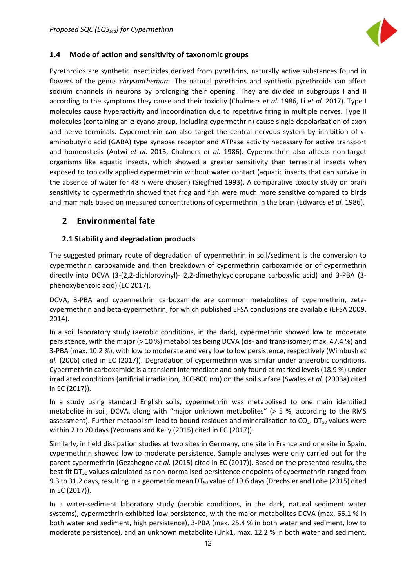

### <span id="page-12-0"></span>**1.4 Mode of action and sensitivity of taxonomic groups**

Pyrethroids are synthetic insecticides derived from pyrethrins, naturally active substances found in flowers of the genus *chrysanthemum*. The natural pyrethrins and synthetic pyrethroids can affect sodium channels in neurons by prolonging their opening. They are divided in subgroups I and II according to the symptoms they cause and their toxicity (Chalmers *et al.* 1986, Li *et al.* 2017). Type I molecules cause hyperactivity and incoordination due to repetitive firing in multiple nerves. Type II molecules (containing an α-cyano group, including cypermethrin) cause single depolarization of axon and nerve terminals. Cypermethrin can also target the central nervous system by inhibition of γaminobutyric acid (GABA) type synapse receptor and ATPase activity necessary for active transport and homeostasis (Antwi *et al.* 2015, Chalmers *et al.* 1986). Cypermethrin also affects non-target organisms like aquatic insects, which showed a greater sensitivity than terrestrial insects when exposed to topically applied cypermethrin without water contact (aquatic insects that can survive in the absence of water for 48 h were chosen) (Siegfried 1993). A comparative toxicity study on brain sensitivity to cypermethrin showed that frog and fish were much more sensitive compared to birds and mammals based on measured concentrations of cypermethrin in the brain (Edwards *et al.* 1986).

### <span id="page-12-1"></span>**2 Environmental fate**

### <span id="page-12-2"></span>**2.1 Stability and degradation products**

The suggested primary route of degradation of cypermethrin in soil/sediment is the conversion to cypermethrin carboxamide and then breakdown of cypermethrin carboxamide or of cypermethrin directly into DCVA (3-(2,2-dichlorovinyl)- 2,2-dimethylcyclopropane carboxylic acid) and 3-PBA (3 phenoxybenzoic acid) (EC 2017).

DCVA, 3-PBA and cypermethrin carboxamide are common metabolites of cypermethrin, zetacypermethrin and beta-cypermethrin, for which published EFSA conclusions are available (EFSA 2009, 2014).

In a soil laboratory study (aerobic conditions, in the dark), cypermethrin showed low to moderate persistence, with the major (> 10 %) metabolites being DCVA (cis- and trans-isomer; max. 47.4 %) and 3-PBA (max. 10.2 %), with low to moderate and very low to low persistence, respectively (Wimbush *et al.* (2006) cited in EC (2017)). Degradation of cypermethrin was similar under anaerobic conditions. Cypermethrin carboxamide is a transient intermediate and only found at marked levels (18.9 %) under irradiated conditions (artificial irradiation, 300-800 nm) on the soil surface (Swales *et al.* (2003a) cited in EC (2017)).

In a study using standard English soils, cypermethrin was metabolised to one main identified metabolite in soil, DCVA, along with "major unknown metabolites" (> 5 %, according to the RMS assessment). Further metabolism lead to bound residues and mineralisation to  $CO<sub>2</sub>$ . DT<sub>50</sub> values were within 2 to 20 days (Yeomans and Kelly (2015) cited in EC (2017)).

Similarly, in field dissipation studies at two sites in Germany, one site in France and one site in Spain, cypermethrin showed low to moderate persistence. Sample analyses were only carried out for the parent cypermethrin (Gezahegne *et al.* (2015) cited in EC (2017)). Based on the presented results, the best-fit DT<sub>50</sub> values calculated as non-normalised persistence endpoints of cypermethrin ranged from 9.3 to 31.2 days, resulting in a geometric mean  $DT_{50}$  value of 19.6 days (Drechsler and Lobe (2015) cited in EC (2017)).

In a water-sediment laboratory study (aerobic conditions, in the dark, natural sediment water systems), cypermethrin exhibited low persistence, with the major metabolites DCVA (max. 66.1 % in both water and sediment, high persistence), 3-PBA (max. 25.4 % in both water and sediment, low to moderate persistence), and an unknown metabolite (Unk1, max. 12.2 % in both water and sediment,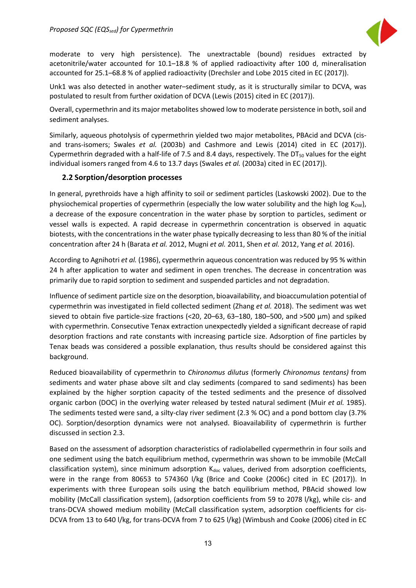

moderate to very high persistence). The unextractable (bound) residues extracted by acetonitrile/water accounted for 10.1–18.8 % of applied radioactivity after 100 d, mineralisation accounted for 25.1–68.8 % of applied radioactivity (Drechsler and Lobe 2015 cited in EC (2017)).

Unk1 was also detected in another water–sediment study, as it is structurally similar to DCVA, was postulated to result from further oxidation of DCVA (Lewis (2015) cited in EC (2017)).

Overall, cypermethrin and its major metabolites showed low to moderate persistence in both, soil and sediment analyses.

Similarly, aqueous photolysis of cypermethrin yielded two major metabolites, PBAcid and DCVA (cisand trans-isomers; Swales *et al.* (2003b) and Cashmore and Lewis (2014) cited in EC (2017)). Cypermethrin degraded with a half-life of 7.5 and 8.4 days, respectively. The  $DT_{50}$  values for the eight individual isomers ranged from 4.6 to 13.7 days (Swales *et al.* (2003a) cited in EC (2017)).

### <span id="page-13-0"></span>**2.2 Sorption/desorption processes**

In general, pyrethroids have a high affinity to soil or sediment particles (Laskowski 2002). Due to the physiochemical properties of cypermethrin (especially the low water solubility and the high log  $K_{\text{OW}}$ ), a decrease of the exposure concentration in the water phase by sorption to particles, sediment or vessel walls is expected. A rapid decrease in cypermethrin concentration is observed in aquatic biotests, with the concentrations in the water phase typically decreasing to less than 80 % of the initial concentration after 24 h (Barata *et al.* 2012, Mugni *et al.* 2011, Shen *et al.* 2012, Yang *et al.* 2016).

According to Agnihotri *et al.* (1986), cypermethrin aqueous concentration was reduced by 95 % within 24 h after application to water and sediment in open trenches. The decrease in concentration was primarily due to rapid sorption to sediment and suspended particles and not degradation.

Influence of sediment particle size on the desorption, bioavailability, and bioaccumulation potential of cypermethrin was investigated in field collected sediment (Zhang *et al.* 2018). The sediment was wet sieved to obtain five particle-size fractions (<20, 20–63, 63–180, 180–500, and >500 μm) and spiked with cypermethrin. Consecutive Tenax extraction unexpectedly yielded a significant decrease of rapid desorption fractions and rate constants with increasing particle size. Adsorption of fine particles by Tenax beads was considered a possible explanation, thus results should be considered against this background.

Reduced bioavailability of cypermethrin to *Chironomus dilutus* (formerly *Chironomus tentans)* from sediments and water phase above silt and clay sediments (compared to sand sediments) has been explained by the higher sorption capacity of the tested sediments and the presence of dissolved organic carbon (DOC) in the overlying water released by tested natural sediment (Muir *et al.* 1985). The sediments tested were sand, a silty-clay river sediment (2.3 % OC) and a pond bottom clay (3.7% OC). Sorption/desorption dynamics were not analysed. Bioavailability of cypermethrin is further discussed in section 2.3.

Based on the assessment of adsorption characteristics of radiolabelled cypermethrin in four soils and one sediment using the batch equilibrium method, cypermethrin was shown to be immobile (McCall classification system), since minimum adsorption  $K_{doc}$  values, derived from adsorption coefficients, were in the range from 80653 to 574360 l/kg (Brice and Cooke (2006c) cited in EC (2017)). In experiments with three European soils using the batch equilibrium method, PBAcid showed low mobility (McCall classification system), (adsorption coefficients from 59 to 2078 l/kg), while cis- and trans-DCVA showed medium mobility (McCall classification system, adsorption coefficients for cis-DCVA from 13 to 640 l/kg, for trans-DCVA from 7 to 625 l/kg) (Wimbush and Cooke (2006) cited in EC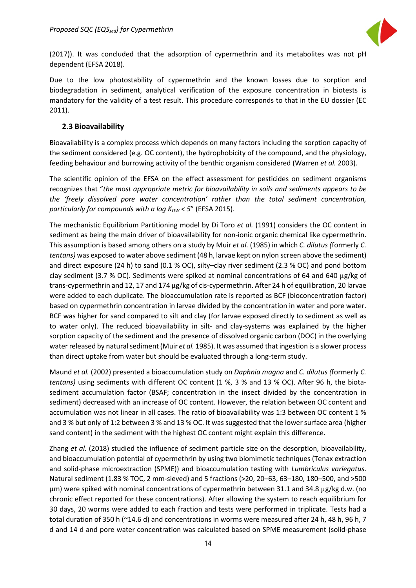

(2017)). It was concluded that the adsorption of cypermethrin and its metabolites was not pH dependent (EFSA 2018).

Due to the low photostability of cypermethrin and the known losses due to sorption and biodegradation in sediment, analytical verification of the exposure concentration in biotests is mandatory for the validity of a test result. This procedure corresponds to that in the EU dossier (EC 2011).

### <span id="page-14-0"></span>**2.3 Bioavailability**

Bioavailability is a complex process which depends on many factors including the sorption capacity of the sediment considered (e.g. OC content), the hydrophobicity of the compound, and the physiology, feeding behaviour and burrowing activity of the benthic organism considered (Warren *et al.* 2003).

The scientific opinion of the EFSA on the effect assessment for pesticides on sediment organisms recognizes that "*the most appropriate metric for bioavailability in soils and sediments appears to be the 'freely dissolved pore water concentration' rather than the total sediment concentration, particularly for compounds with a log K<sub>ow</sub> < 5" (EFSA 2015).* 

The mechanistic Equilibrium Partitioning model by Di Toro *et al.* (1991) considers the OC content in sediment as being the main driver of bioavailability for non-ionic organic chemical like cypermethrin. This assumption is based among others on a study by Muir *et al.* (1985) in which *C. dilutus (*formerly *C. tentans)* was exposed to water above sediment (48 h, larvae kept on nylon screen above the sediment) and direct exposure (24 h) to sand (0.1 % OC), silty–clay river sediment (2.3 % OC) and pond bottom clay sediment (3.7 % OC). Sediments were spiked at nominal concentrations of 64 and 640 µg/kg of trans-cypermethrin and 12, 17 and 174 µg/kg of cis-cypermethrin. After 24 h of equilibration, 20 larvae were added to each duplicate. The bioaccumulation rate is reported as BCF (bioconcentration factor) based on cypermethrin concentration in larvae divided by the concentration in water and pore water. BCF was higher for sand compared to silt and clay (for larvae exposed directly to sediment as well as to water only). The reduced bioavailability in silt- and clay-systems was explained by the higher sorption capacity of the sediment and the presence of dissolved organic carbon (DOC) in the overlying water released by natural sediment(Muir *et al.* 1985). It was assumed that ingestion is a slower process than direct uptake from water but should be evaluated through a long-term study.

Maund *et al.* (2002) presented a bioaccumulation study on *Daphnia magna* and *C. dilutus (*formerly *C. tentans)* using sediments with different OC content (1 %, 3 % and 13 % OC). After 96 h, the biotasediment accumulation factor (BSAF; concentration in the insect divided by the concentration in sediment) decreased with an increase of OC content. However, the relation between OC content and accumulation was not linear in all cases. The ratio of bioavailability was 1:3 between OC content 1 % and 3 % but only of 1:2 between 3 % and 13 % OC. It was suggested that the lower surface area (higher sand content) in the sediment with the highest OC content might explain this difference.

Zhang *et al.* (2018) studied the influence of sediment particle size on the desorption, bioavailability, and bioaccumulation potential of cypermethrin by using two biomimetic techniques (Tenax extraction and solid-phase microextraction (SPME)) and bioaccumulation testing with *Lumbriculus variegatus*. Natural sediment (1.83 % TOC, 2 mm-sieved) and 5 fractions (>20, 20–63, 63–180, 180–500, and >500 μm) were spiked with nominal concentrations of cypermethrin between 31.1 and 34.8 µg/kg d.w. (no chronic effect reported for these concentrations). After allowing the system to reach equilibrium for 30 days, 20 worms were added to each fraction and tests were performed in triplicate. Tests had a total duration of 350 h (~14.6 d) and concentrations in worms were measured after 24 h, 48 h, 96 h, 7 d and 14 d and pore water concentration was calculated based on SPME measurement (solid-phase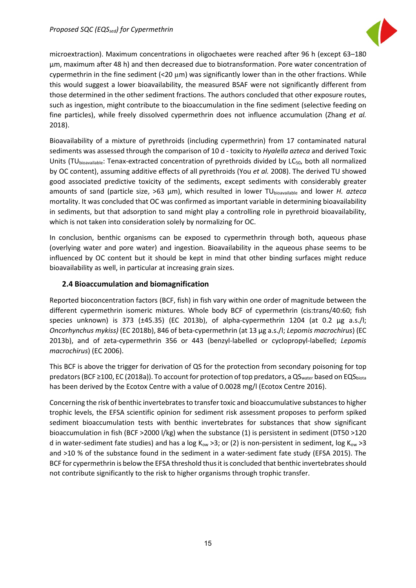

microextraction). Maximum concentrations in oligochaetes were reached after 96 h (except 63–180 μm, maximum after 48 h) and then decreased due to biotransformation. Pore water concentration of cypermethrin in the fine sediment  $(20 \mu m)$  was significantly lower than in the other fractions. While this would suggest a lower bioavailability, the measured BSAF were not significantly different from those determined in the other sediment fractions. The authors concluded that other exposure routes, such as ingestion, might contribute to the bioaccumulation in the fine sediment (selective feeding on fine particles), while freely dissolved cypermethrin does not influence accumulation (Zhang *et al.* 2018).

Bioavailability of a mixture of pyrethroids (including cypermethrin) from 17 contaminated natural sediments was assessed through the comparison of 10 d - toxicity to *Hyalella azteca* and derived Toxic Units (TUbioavailable: Tenax-extracted concentration of pyrethroids divided by LC<sub>50</sub>, both all normalized by OC content), assuming additive effects of all pyrethroids (You *et al.* 2008). The derived TU showed good associated predictive toxicity of the sediments, except sediments with considerably greater amounts of sand (particle size, >63 µm), which resulted in lower TU<sub>bioavailable</sub> and lower *H. azteca* mortality. It was concluded that OC was confirmed as important variable in determining bioavailability in sediments, but that adsorption to sand might play a controlling role in pyrethroid bioavailability, which is not taken into consideration solely by normalizing for OC.

In conclusion, benthic organisms can be exposed to cypermethrin through both, aqueous phase (overlying water and pore water) and ingestion. Bioavailability in the aqueous phase seems to be influenced by OC content but it should be kept in mind that other binding surfaces might reduce bioavailability as well, in particular at increasing grain sizes.

### <span id="page-15-0"></span>**2.4 Bioaccumulation and biomagnification**

Reported bioconcentration factors (BCF, fish) in fish vary within one order of magnitude between the different cypermethrin isomeric mixtures. Whole body BCF of cypermethrin (cis:trans/40:60; fish species unknown) is 373 (±45.35) (EC 2013b), of alpha-cypermethrin 1204 (at 0.2 μg a.s./l; *Oncorhynchus mykiss)* (EC 2018b), 846 of beta-cypermethrin (at 13 μg a.s./l; *Lepomis macrochirus*) (EC 2013b), and of zeta-cypermethrin 356 or 443 (benzyl-labelled or cyclopropyl-labelled; *Lepomis macrochirus*) (EC 2006).

This BCF is above the trigger for derivation of QS for the protection from secondary poisoning for top predators (BCF ≥100, EC (2018a)). To account for protection of top predators, a QS<sub>water</sub> based on EQS<sub>biota</sub> has been derived by the Ecotox Centre with a value of 0.0028 mg/l (Ecotox Centre 2016).

Concerning the risk of benthic invertebrates to transfer toxic and bioaccumulative substances to higher trophic levels, the EFSA scientific opinion for sediment risk assessment proposes to perform spiked sediment bioaccumulation tests with benthic invertebrates for substances that show significant bioaccumulation in fish (BCF >2000 l/kg) when the substance (1) is persistent in sediment (DT50 >120 d in water-sediment fate studies) and has a log  $K_{ow} > 3$ ; or (2) is non-persistent in sediment, log  $K_{ow} > 3$ and >10 % of the substance found in the sediment in a water-sediment fate study (EFSA 2015). The BCF for cypermethrin is below the EFSA threshold thus it is concluded that benthic invertebrates should not contribute significantly to the risk to higher organisms through trophic transfer.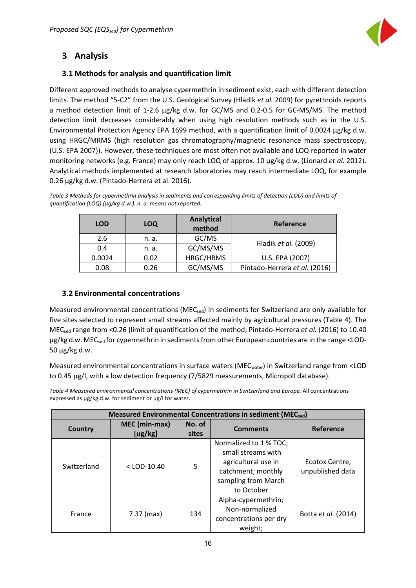

### <span id="page-16-0"></span>**3 Analysis**

### <span id="page-16-1"></span>**3.1 Methods for analysis and quantification limit**

Different approved methods to analyse cypermethrin in sediment exist, each with different detection limits. The method "5-C2" from the U.S. Geological Survey (Hladik *et al.* 2009) for pyrethroids reports a method detection limit of 1-2.6 µg/kg d.w. for GC/MS and 0.2-0.5 for GC-MS/MS. The method detection limit decreases considerably when using high resolution methods such as in the U.S. Environmental Protection Agency EPA 1699 method, with a quantification limit of 0.0024 µg/kg d.w. using HRGC/MRMS (high resolution gas chromatography/magnetic resonance mass spectroscopy, (U.S. EPA 2007)). However, these techniques are most often not available and LOQ reported in water monitoring networks (e.g. France) may only reach LOQ of approx. 10 µg/kg d.w. (Lionard *et al.* 2012). Analytical methods implemented at research laboratories may reach intermediate LOQ, for example 0.26 µg/kg d.w. (Pintado-Herrera et al. 2016).

| <b>LOD</b> | <b>LOQ</b> | Analytical<br>method | <b>Reference</b>              |
|------------|------------|----------------------|-------------------------------|
| 2.6        | n. a.      | GC/MS                | Hladik et al. (2009)          |
| 0.4        | n. a.      | GC/MS/MS             |                               |
| 0.0024     | 0.02       | HRGC/HRMS            | U.S. EPA (2007)               |
| 0.08       | 0.26       | GC/MS/MS             | Pintado-Herrera et al. (2016) |

*Table 3 Methods for cypermethrin analysis in sediments and corresponding limits of detection (LOD) and limits of quantification (LOQ) (µg/kg d.w.). n. a. means not reported.*

### <span id="page-16-2"></span>**3.2 Environmental concentrations**

Measured environmental concentrations ( $MEC_{sed}$ ) in sediments for Switzerland are only available for five sites selected to represent small streams affected mainly by agricultural pressures (Table 4). The MECsed range from <0.26 (limit of quantification of the method; Pintado-Herrera *et al.* (2016) to 10.40 µg/kg d.w. MEC<sub>sed</sub> for cypermethrin in sediments from other European countries are in the range <LOD-50 µg/kg d.w.

Measured environmental concentrations in surface waters (MEC<sub>water</sub>) in Switzerland range from <LOD to 0.45 µg/l, with a low detection frequency (7/5829 measurements, Micropoll database).

*Table 4 Measured environmental concentrations (MEC) of cypermethrin in Switzerland and Europe.* All concentrations expressed as µg/kg d.w. for sediment or µg/l for water.

| Measured Environmental Concentrations in sediment (MECsed) |                               |           |                                                                                                                                |                                    |  |  |  |  |  |
|------------------------------------------------------------|-------------------------------|-----------|--------------------------------------------------------------------------------------------------------------------------------|------------------------------------|--|--|--|--|--|
| <b>Country</b>                                             | MEC (min-max)<br>$[\mu$ g/kg] | Reference |                                                                                                                                |                                    |  |  |  |  |  |
| Switzerland                                                | $<$ LOD-10.40                 | 5         | Normalized to 1 % TOC;<br>small streams with<br>agricultural use in<br>catchment; monthly<br>sampling from March<br>to October | Ecotox Centre,<br>unpublished data |  |  |  |  |  |
| France                                                     | 7.37 (max)                    | 134       | Alpha-cypermethrin;<br>Non-normalized<br>concentrations per dry<br>weight;                                                     | Botta <i>et al.</i> (2014)         |  |  |  |  |  |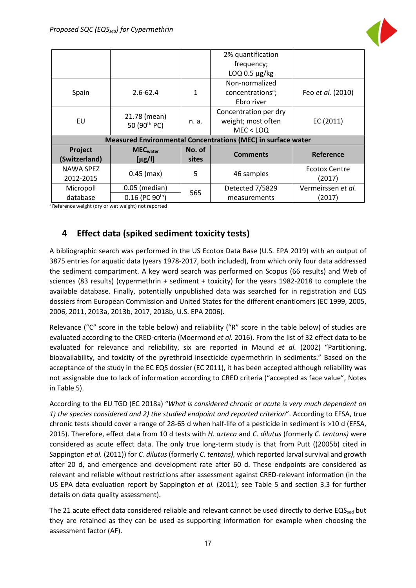

|               |                                          |              | 2% quantification                                                   |                    |
|---------------|------------------------------------------|--------------|---------------------------------------------------------------------|--------------------|
|               |                                          |              | frequency;                                                          |                    |
|               |                                          |              | $LOQ$ 0.5 $\mu$ g/kg                                                |                    |
|               |                                          |              | Non-normalized                                                      |                    |
| Spain         | $2.6 - 62.4$                             | $\mathbf{1}$ | concentrations <sup>a</sup> ;                                       | Feo et al. (2010)  |
|               |                                          |              | Ebro river                                                          |                    |
|               |                                          |              | Concentration per dry                                               |                    |
| EU            | 21.78 (mean)<br>50 (90 <sup>th</sup> PC) | n. a.        | weight; most often                                                  | EC (2011)          |
|               |                                          |              | MEC < LOO                                                           |                    |
|               |                                          |              | <b>Measured Environmental Concentrations (MEC) in surface water</b> |                    |
| Project       | <b>MEC</b> water                         | No. of       | <b>Comments</b>                                                     | Reference          |
| (Switzerland) | $[\mu$ g/l]                              | sites        |                                                                     |                    |
| NAWA SPEZ     |                                          | 5            |                                                                     | Ecotox Centre      |
| 2012-2015     | $0.45$ (max)                             |              | 46 samples                                                          | (2017)             |
| Micropoll     | $0.05$ (median)                          | 565          | Detected 7/5829                                                     | Vermeirssen et al. |
| database      | $0.16$ (PC 90 <sup>th</sup> )            |              | measurements                                                        | (2017)             |

a Reference weight (dry or wet weight) not reported

### <span id="page-17-0"></span>**4 Effect data (spiked sediment toxicity tests)**

A bibliographic search was performed in the US Ecotox Data Base (U.S. EPA 2019) with an output of 3875 entries for aquatic data (years 1978-2017, both included), from which only four data addressed the sediment compartment. A key word search was performed on Scopus (66 results) and Web of sciences (83 results) (cypermethrin + sediment + toxicity) for the years 1982-2018 to complete the available database. Finally, potentially unpublished data was searched for in registration and EQS dossiers from European Commission and United States for the different enantiomers (EC 1999, 2005, 2006, 2011, 2013a, 2013b, 2017, 2018b, U.S. EPA 2006).

Relevance ("C" score in the table below) and reliability ("R" score in the table below) of studies are evaluated according to the CRED-criteria (Moermond *et al.* 2016). From the list of 32 effect data to be evaluated for relevance and reliability, six are reported in Maund *et al.* (2002) "Partitioning, bioavailability, and toxicity of the pyrethroid insecticide cypermethrin in sediments." Based on the acceptance of the study in the EC EQS dossier (EC 2011), it has been accepted although reliability was not assignable due to lack of information according to CRED criteria ("accepted as face value", Notes in Table 5).

According to the EU TGD (EC 2018a) "*What is considered chronic or acute is very much dependent on 1) the species considered and 2) the studied endpoint and reported criterion*". According to EFSA, true chronic tests should cover a range of 28-65 d when half-life of a pesticide in sediment is >10 d (EFSA, 2015). Therefore, effect data from 10 d tests with *H. azteca* and *C. dilutus* (formerly *C. tentans)* were considered as acute effect data. The only true long-term study is that from Putt ((2005b) cited in Sappington *et al.* (2011)) for *C. dilutus* (formerly *C. tentans),* which reported larval survival and growth after 20 d, and emergence and development rate after 60 d. These endpoints are considered as relevant and reliable without restrictions after assessment against CRED-relevant information (in the US EPA data evaluation report by Sappington *et al.* (2011); see Table 5 and section 3.3 for further details on data quality assessment).

The 21 acute effect data considered reliable and relevant cannot be used directly to derive EQS<sub>sed</sub> but they are retained as they can be used as supporting information for example when choosing the assessment factor (AF).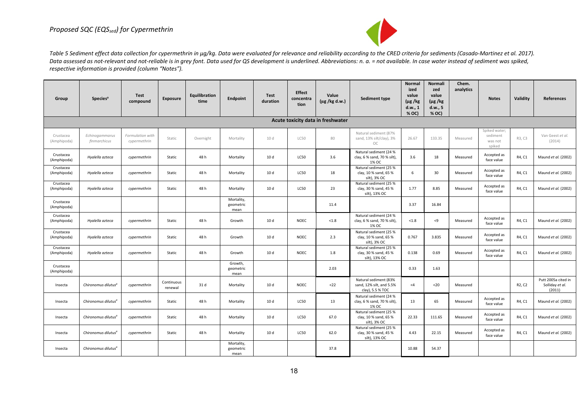

Table 5 Sediment effect data collection for cypermethrin in µg/kg. Data were evaluated for relevance and reliability according to the CRED criteria for sediments (Casado-Martinez et al. 2017). Data assessed as not-relevant and not-reliable is in grey font. Data used for QS development is underlined. Abbreviations: n. a. = not available. In case water instead of sediment was spiked, *respective information is provided (column "Notes").*

| Group                    | <b>Species<sup>a</sup></b>        | <b>Test</b><br>compound          | Exposure              | Equilibration<br>time | Endpoint                        | <b>Test</b><br>duration | <b>Effect</b><br>concentra<br>tion | Value<br>$(\mu g / kg d.w.)$ | Sediment type                                                         | Normal<br>ized<br>value<br>$(\mu g / kg)$<br>d.w., 1<br>% OC) | <b>Normali</b><br>zed<br>value<br>$(\mu g / kg)$<br>d.w., 5<br>% OC) | Chem.<br>analytics | <b>Notes</b>                                   | Validity                        | References                                       |
|--------------------------|-----------------------------------|----------------------------------|-----------------------|-----------------------|---------------------------------|-------------------------|------------------------------------|------------------------------|-----------------------------------------------------------------------|---------------------------------------------------------------|----------------------------------------------------------------------|--------------------|------------------------------------------------|---------------------------------|--------------------------------------------------|
|                          | Acute toxicity data in freshwater |                                  |                       |                       |                                 |                         |                                    |                              |                                                                       |                                                               |                                                                      |                    |                                                |                                 |                                                  |
| Crustacea<br>(Amphipoda) | Echinogammarus<br>finmarchicus    | Formulation with<br>cypermethrin | Static                | Overnight             | Mortality                       | 10 d                    | <b>LC50</b>                        | 80                           | Natural sediment (87%<br>sand, 13% silt/clay), 3%<br>OC               | 26.67                                                         | 133.35                                                               | Measured           | Spiked water;<br>sediment<br>was not<br>spiked | R3, C3                          | Van Geest et al.<br>(2014)                       |
| Crustacea<br>(Amphipoda) | Hyalella azteca                   | cypermethrin                     | Static                | 48 h                  | Mortality                       | 10 <sub>d</sub>         | <b>LC50</b>                        | 3.6                          | Natural sediment (24 %<br>clay, 6 % sand, 70 % silt),<br>1% OC        | 3.6                                                           | 18                                                                   | Measured           | Accepted as<br>face value                      | R4, C1                          | Maund et al. (2002)                              |
| Crustacea<br>(Amphipoda) | Hyalella azteca                   | cypermethrin                     | Static                | 48 h                  | Mortality                       | 10 d                    | <b>LC50</b>                        | 18                           | Natural sediment (25 %<br>clay, 10 % sand, 65 %<br>silt), 3% OC       | 6                                                             | 30                                                                   | Measured           | Accepted as<br>face value                      | R4, C1                          | Maund et al. (2002)                              |
| Crustacea<br>(Amphipoda) | Hyalella azteca                   | cypermethrin                     | Static                | 48 h                  | Mortality                       | 10 d                    | <b>LC50</b>                        | 23                           | Natural sediment (25 %<br>clay, 30 % sand, 45 %<br>silt), 13% OC      | 1.77                                                          | 8.85                                                                 | Measured           | Accepted as<br>face value                      | R4, C1                          | Maund et al. (2002)                              |
| Crustacea<br>(Amphipoda) |                                   |                                  |                       |                       | Mortality,<br>geometric<br>mean |                         |                                    | 11.4                         |                                                                       | 3.37                                                          | 16.84                                                                |                    |                                                |                                 |                                                  |
| Crustacea<br>(Amphipoda) | Hyalella azteca                   | cypermethrin                     | Static                | 48h                   | Growth                          | 10 d                    | <b>NOEC</b>                        | < 1.8                        | Natural sediment (24 %<br>clay, 6 % sand, 70 % silt),<br>1% OC        | < 1.8                                                         | $\leq$ 9                                                             | Measured           | Accepted as<br>face value                      | R4, C1                          | Maund et al. (2002)                              |
| Crustacea<br>(Amphipoda) | Hyalella azteca                   | cypermethrin                     | Static                | 48h                   | Growth                          | 10 d                    | NOEC                               | 2.3                          | Natural sediment (25 %<br>clay, 10 % sand, 65 %<br>silt), 3% OC       | 0.767                                                         | 3.835                                                                | Measured           | Accepted as<br>face value                      | R4, C1                          | Maund et al. (2002)                              |
| Crustacea<br>(Amphipoda) | Hyalella azteca                   | cypermethrin                     | Static                | 48h                   | Growth                          | 10 d                    | <b>NOEC</b>                        | 1.8                          | Natural sediment (25 %<br>clay, 30 % sand, 45 %<br>silt), 13% OC      | 0.138                                                         | 0.69                                                                 | Measured           | Accepted as<br>face value                      | R4, C1                          | Maund et al. (2002)                              |
| Crustacea<br>(Amphipoda) |                                   |                                  |                       |                       | Growth,<br>geometric<br>mean    |                         |                                    | 2.03                         |                                                                       | 0.33                                                          | 1.63                                                                 |                    |                                                |                                 |                                                  |
| Insecta                  | Chironomus dilutus <sup>a</sup>   | cypermethrin                     | Continuous<br>renewal | 31 d                  | Mortality                       | 10 d                    | <b>NOEC</b>                        | $22$                         | Natural sediment (83%<br>sand, 12% silt, and 5.5%<br>clay), 5.5 % TOC | $<$ 4                                                         | $20$                                                                 | Measured           |                                                | R <sub>2</sub> , C <sub>2</sub> | Putt 2005a cited in<br>Solliday et al.<br>(2011) |
| Insecta                  | Chironomus dilutus <sup>a</sup>   | cypermethrin                     | Static                | 48h                   | Mortality                       | 10 d                    | <b>LC50</b>                        | 13                           | Natural sediment (24 %<br>clay, 6 % sand, 70 % silt),<br>1% OC        | 13                                                            | 65                                                                   | Measured           | Accepted as<br>face value                      | R4, C1                          | Maund et al. (2002)                              |
| Insecta                  | Chironomus dilutus <sup>a</sup>   | cypermethrin                     | Static                | 48h                   | Mortality                       | 10 d                    | <b>LC50</b>                        | 67.0                         | Natural sediment (25 %<br>clay, 10 % sand, 65 %<br>silt), 3% OC       | 22.33                                                         | 111.65                                                               | Measured           | Accepted as<br>face value                      | R4, C1                          | Maund et al. (2002)                              |
| Insecta                  | Chironomus dilutus <sup>a</sup>   | cypermethrin                     | Static                | 48h                   | Mortality                       | 10 <sub>d</sub>         | <b>LC50</b>                        | 62.0                         | Natural sediment (25 %<br>clay, 30 % sand, 45 %<br>silt), 13% OC      | 4.43                                                          | 22.15                                                                | Measured           | Accepted as<br>face value                      | R4, C1                          | Maund et al. (2002)                              |
| Insecta                  | Chironomus dilutus <sup>a</sup>   |                                  |                       |                       | Mortality,<br>geometric<br>mean |                         |                                    | 37.8                         |                                                                       | 10.88                                                         | 54.37                                                                |                    |                                                |                                 |                                                  |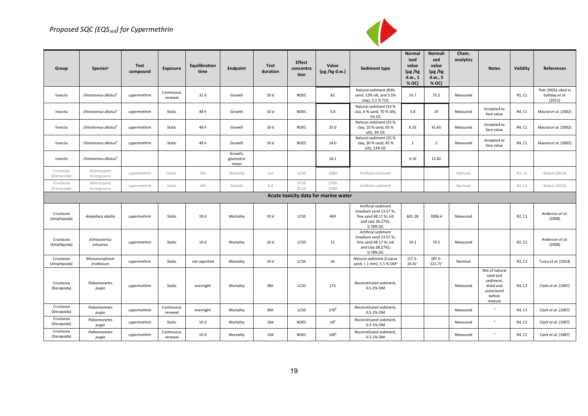### *Proposed SQC (EQSsed) for Cypermethrin*



| Group                    | Species <sup>a</sup>            | Test<br>compound | <b>Exposure</b>       | Equilibration<br>time | Endpoint                     | Test<br>duration | <b>Effect</b><br>concentra<br>tion | Value<br>$(\mu g / kg d.w.)$         | Sediment type                                                                                           | Normal<br>ized<br>value<br>$(\mu g / kg)$<br>d.w., 1<br>% OC) | Normali<br>zed<br>value<br>$(\mu g / kg)$<br>d.w., 5<br>% OC) | Chem.<br>analytics | <b>Notes</b>                                                                            | Validity                        | References                                       |
|--------------------------|---------------------------------|------------------|-----------------------|-----------------------|------------------------------|------------------|------------------------------------|--------------------------------------|---------------------------------------------------------------------------------------------------------|---------------------------------------------------------------|---------------------------------------------------------------|--------------------|-----------------------------------------------------------------------------------------|---------------------------------|--------------------------------------------------|
| Insecta                  | Chironomus dilutus <sup>a</sup> | cypermethrin     | Continuous<br>renewal | 31 d                  | Growth                       | 10 d             | NOEC                               | 81                                   | Natural sediment (83%<br>sand, 12% silt, and 5.5%<br>clay), 5.5 % TOC                                   | 14.7                                                          | 73.5                                                          | Measured           |                                                                                         | R1, C1                          | Putt 2005a cited in<br>Solliday et al.<br>(2011) |
| Insecta                  | Chironomus dilutus <sup>a</sup> | cypermethrin     | Static                | 48 h                  | Growth                       | 10 d             | <b>NOEC</b>                        | 3.8                                  | Natural sediment (24 %<br>clay, 6 % sand, 70 % silt),<br>1% OC                                          | 3.8                                                           | 19                                                            | Measured           | Accepted as<br>face value                                                               | R4, C1                          | Maund et al. (2002)                              |
| Insecta                  | Chironomus dilutus <sup>a</sup> | cypermethrin     | Static                | 48 h                  | Growth                       | 10 d             | NOEC                               | 25.0                                 | Natural sediment (25 %<br>clay, 10 % sand, 65 %<br>silt), 3% OC                                         | 8.33                                                          | 41.65                                                         | Measured           | Accepted as<br>face value                                                               | R4, C1                          | Maund et al. (2002)                              |
| Insecta                  | Chironomus dilutus <sup>a</sup> | cypermethrin     | Static                | 48 h                  | Growth                       | 10 d             | NOEC                               | 14.0                                 | Natural sediment (25 %<br>clay, 30 % sand, 45 %<br>silt), 13% OC                                        | $\mathbf{1}$                                                  | 5                                                             | Measured           | Accepted as<br>face value                                                               | R4, C1                          | Maund et al. (2002)                              |
| Insecta                  | Chironomus dilutus <sup>a</sup> |                  |                       |                       | Growth,<br>geometric<br>mean |                  |                                    | 18.1                                 |                                                                                                         | 3.16                                                          | 15.82                                                         |                    |                                                                                         |                                 |                                                  |
| Crustacea<br>(Ostracoda) | Heterocypris<br>incongruens     | cypermethrin     | Static                | 24h                   | Mortality                    | 6 d              | LC50                               | 2480                                 | Artificial sediment                                                                                     |                                                               |                                                               | Nominal            |                                                                                         | R3, C1                          | Bebon (2013)                                     |
| Crustacea<br>(Ostracoda) | Heterocypris<br>incongruens     | cypermethrin     | Static                | 24h                   | Growth                       | 6 d              | <b>EC50</b><br>EC10                | 2330<br>1000                         | Artificial sediment                                                                                     |                                                               |                                                               | Nominal            |                                                                                         | R3, C1                          | Bebon (2013)                                     |
|                          |                                 |                  |                       |                       |                              |                  |                                    | Acute toxicity data for marine water |                                                                                                         |                                                               |                                                               |                    |                                                                                         |                                 |                                                  |
| Crustacea<br>(Amphipoda) | Ampelisca abdita                | cypermethrin     | Static                | 10 d                  | Mortality                    | 10 d             | LC50                               | 469                                  | Artificial sediment<br>(medium sand 13.57%;<br>fine sand 48.17 %; silt<br>and clay 38.27%),<br>0.78% OC | 601.28                                                        | 3006.4                                                        | Measured           |                                                                                         | R <sub>2</sub> , C <sub>1</sub> | Anderson et al.<br>(2008)                        |
| Crustacea<br>(Amphipoda) | Eohaustorius<br>estuarius       | cypermethrin     | Static                | 10 d                  | Mortality                    | 10 d             | <b>LC50</b>                        | 11                                   | Artificial sediment<br>(medium sand 13.57%;<br>fine sand 48.17 %; silt<br>and clay 38.27%),<br>0.78% OC | 14.1                                                          | 70.5                                                          | Measured           |                                                                                         | R <sub>2</sub> , C <sub>1</sub> | Anderson et al.<br>(2008)                        |
| Crustacea<br>(Amphipoda) | Monocorophium<br>insidiosum     | cypermethrin     | Static                | not reported          | Mortality                    | 10 d             | <b>LC50</b>                        | 56                                   | Natural sediment (Coarse<br>sand, < 1 mm), 5.5 % OM <sup>c</sup>                                        | $(17.5 -$<br>$24.4$ <sup>c</sup>                              | $(87.5 -$<br>$121.7$ <sup>c</sup>                             | Nominal            |                                                                                         | R3, C2                          | Tucca et al. (2014)                              |
| Crustacea<br>(Decapoda)  | Palaemonetes<br>pugio           | cypermethrin     | Static                | overnight             | Mortality                    | 96h              | <b>LC50</b>                        | 175                                  | Reconstituted sediment,<br>0.5-1% OM                                                                    |                                                               |                                                               | Measured           | Mix of natural<br>sand and<br>sediment,<br>dried and<br>autoclaved<br>before<br>mixture | R4, C2                          | Clark et al. (1987)                              |
| Crustacea<br>(Decapoda)  | Palaemonetes<br>pugio           | cypermethrin     | Continuous<br>renewal | overnight             | Mortality                    | 96h              | <b>LC50</b>                        | 270 <sup>b</sup>                     | Reconstituted sediment,<br>0.5-1% OM                                                                    |                                                               |                                                               | Measured           | $\boldsymbol{u}$                                                                        | R4, C2                          | Clark et al. (1987)                              |
| Crustacea<br>(Decapoda)  | Palaemonetes<br>pugio           | cypermethrin     | Static                | 10 d                  | Mortality                    | 10 <sub>d</sub>  | <b>NOEC</b>                        | 10 <sup>b</sup>                      | Reconstituted sediment,<br>0.5-1% OM                                                                    |                                                               |                                                               | Measured           | $\boldsymbol{u}$                                                                        | R4, C2                          | Clark et al. (1987)                              |
| Crustacea<br>(Decapoda)  | Palaemonetes<br>pugio           | cypermethrin     | Continuous<br>renewal | 10 d                  | Mortality                    | 10 <sub>d</sub>  | <b>NOEC</b>                        | 100 <sup>b</sup>                     | Reconstituted sediment,<br>0.5-1% OM                                                                    |                                                               |                                                               | Measured           | $\boldsymbol{u}$                                                                        | R4, C2                          | Clark et al. (1987)                              |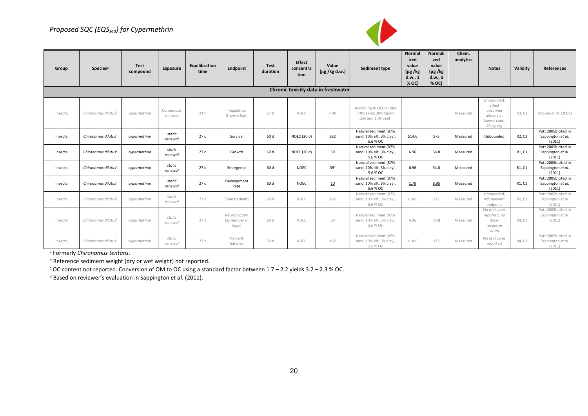### *Proposed SQC (EQSsed) for Cypermethrin*



| Group   | Species <sup>a</sup>            | <b>Test</b><br>compound | Exposure              | Equilibration<br>time | Endpoint                               | <b>Test</b><br>duration | Effect<br>concentra<br>tion | Value<br>$(\mu g / kg d.w.)$        | Sediment type                                                         | Normal<br>ized<br>value<br>$(\mu g / kg)$<br>d.w., 1<br>% OC) | <b>Normali</b><br>zed<br>value<br>$(\mu g / kg)$<br>d.w., 5<br>% OC) | Chem.<br>analytics | <b>Notes</b>                                                                    | Validity                        | <b>References</b>                                  |
|---------|---------------------------------|-------------------------|-----------------------|-----------------------|----------------------------------------|-------------------------|-----------------------------|-------------------------------------|-----------------------------------------------------------------------|---------------------------------------------------------------|----------------------------------------------------------------------|--------------------|---------------------------------------------------------------------------------|---------------------------------|----------------------------------------------------|
|         |                                 |                         |                       |                       |                                        |                         |                             | Chronic toxicity data in freshwater |                                                                       |                                                               |                                                                      |                    |                                                                                 |                                 |                                                    |
| Insecta | Chironomus dilutus <sup>a</sup> | cypermethrin            | Continuous<br>renewal | 24 h                  | Population<br>Growth Rate              | 67 d                    | <b>NOEC</b>                 | < 49                                | According to OECD 1984<br>(70% sand, 20% kaolin<br>clay and 10% peat) |                                                               |                                                                      | Measured           | Unbounded,<br>effect<br>observed<br>already at<br>lowest conc.<br>$49 \mu g/kg$ | R3, C3                          | Hooper et al. (2003)                               |
| Insecta | Chironomus dilutus <sup>a</sup> | cypermethrin            | static<br>renewal     | 27 d                  | Survival                               | 60 d                    | NOEC (20 d)                 | $\geq 82$                           | Natural sediment (87%<br>sand, 10% silt, 3% clay),<br>5.6 % OC        | $\geq 14.6$                                                   | $\geq 73$                                                            | Measured           | Unbounded                                                                       | R <sub>2</sub> , C <sub>1</sub> | Putt 2005b cited in<br>Sappington et al.<br>(2011) |
| Insecta | Chironomus dilutus <sup>a</sup> | cypermethrin            | static<br>renewal     | 27d                   | Growth                                 | 60 d                    | NOEC (20 d)                 | 39                                  | Natural sediment (87%<br>sand, 10% silt, 3% clay),<br>5.6 % OC        | 6.96                                                          | 34.8                                                                 | Measured           |                                                                                 | R1, C1                          | Putt 2005b cited in<br>Sappington et al.<br>(2011) |
| Insecta | Chironomus dilutus <sup>a</sup> | cypermethrin            | static<br>renewal     | 27d                   | Emergence                              | 60 d                    | <b>NOEC</b>                 | 39 <sup>d</sup>                     | Natural sediment (87%<br>sand, 10% silt, 3% clay),<br>5.6 % OC        | 6.96                                                          | 34.8                                                                 | Measured           |                                                                                 | R1. C1                          | Putt 2005b cited in<br>Sappington et al.<br>(2011) |
| Insecta | Chironomus dilutus <sup>a</sup> | cypermethrin            | static<br>renewal     | 27d                   | Development<br>rate                    | 60 d                    | <b>NOEC</b>                 | 10                                  | Natural sediment (87%<br>sand, 10% silt, 3% clay),<br>5.6 % OC        | 1.79                                                          | 8.95                                                                 | Measured           |                                                                                 | R1, C1                          | Putt 2005b cited in<br>Sappington et al.<br>(2011) |
| Insecta | Chironomus dilutus <sup>a</sup> | cvpermethrin            | static<br>renewal     | 27 d                  | Time to death                          | 60 d                    | <b>NOEC</b>                 | $\geq 82$                           | Natural sediment (87%<br>sand, 10% silt, 3% clay),<br>5.6 % OC        | $\geq 14.6$                                                   | $\geq 73$                                                            | Measured           | Unbounded.<br>not relevant<br>endpoint                                          | R2, C3                          | Putt 2005b cited in<br>Sappington et al.<br>(2011) |
| Insecta | Chironomus dilutus <sup>a</sup> | cypermethrin            | static<br>renewal     | 27 d                  | Reproduction<br>(as number of<br>eggs) | 60 d                    | <b>NOEC</b>                 | 39                                  | Natural sediment (87%<br>sand, 10% silt, 3% clay),<br>5.6 % OC        | 6.96                                                          | 34.8                                                                 | Measured           | No replicates<br>reported, no<br>dose-<br>response<br>curve                     | R4, C1                          | Putt 2005b cited in<br>Sappington et al.<br>(2011) |
| Insecta | Chironomus dilutus <sup>a</sup> | cypermethrin            | static<br>renewal     | 27 d                  | Percent<br>hatched                     | 60 d                    | NOEC                        | $\geq 82$                           | Natural sediment (87%<br>sand, 10% silt, 3% clay),<br>5.6 % OC        | $\geq 14.6$                                                   | $\geq$ 73                                                            | Measured           | No replicates<br>reported                                                       | R4, C1                          | Putt 2005b cited in<br>Sappington et al.<br>(2011) |

a Formerly *Chironomus tentans*.

**b** Reference sediment weight (dry or wet weight) not reported.

<sup>c</sup> OC content not reported. Conversion of OM to OC using a standard factor between 1.7 – 2.2 yields 3.2 – 2.3 % OC.

d Based on reviewer's evaluation in Sappington *et al.* (2011).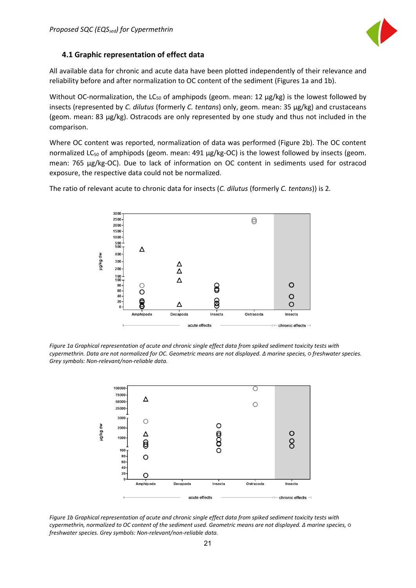

### <span id="page-21-0"></span>**4.1 Graphic representation of effect data**

All available data for chronic and acute data have been plotted independently of their relevance and reliability before and after normalization to OC content of the sediment (Figures 1a and 1b).

Without OC-normalization, the  $LC_{50}$  of amphipods (geom. mean: 12  $\mu$ g/kg) is the lowest followed by insects (represented by *C. dilutus* (formerly *C. tentans*) only, geom. mean: 35 µg/kg) and crustaceans (geom. mean: 83 µg/kg). Ostracods are only represented by one study and thus not included in the comparison.

Where OC content was reported, normalization of data was performed (Figure 2b). The OC content normalized LC $_{50}$  of amphipods (geom. mean: 491  $\mu$ g/kg-OC) is the lowest followed by insects (geom. mean: 765 µg/kg-OC). Due to lack of information on OC content in sediments used for ostracod exposure, the respective data could not be normalized.

> 3000 2500  $\Theta$  $2000 1500 -$ 1000  $\frac{500}{500}$ Δ 400 wb bylbi 300 Δ 200  $\overline{\Delta}$  $\frac{100}{100}$ Δ  $\circ$ 80  $\sqrt{2}$  $\theta$ 60  $\circ$  $\overline{O}$ 40  $20$  $\Lambda$  $\Omega$ Decapoda Ostracoda Insecta Amphipoda Insecta acute effects chronic effects  $-$

The ratio of relevant acute to chronic data for insects (*C. dilutus* (formerly *C. tentans*)) is 2*.*

*Figure 1a Graphical representation of acute and chronic single effect data from spiked sediment toxicity tests with cypermethrin. Data are not normalized for OC. Geometric means are not displayed. ∆ marine species, ○ freshwater species. Grey symbols: Non-relevant/non-reliable data.* 



*Figure 1b Graphical representation of acute and chronic single effect data from spiked sediment toxicity tests with cypermethrin, normalized to OC content of the sediment used. Geometric means are not displayed. ∆ marine species, ○ freshwater species. Grey symbols: Non-relevant/non-reliable data.*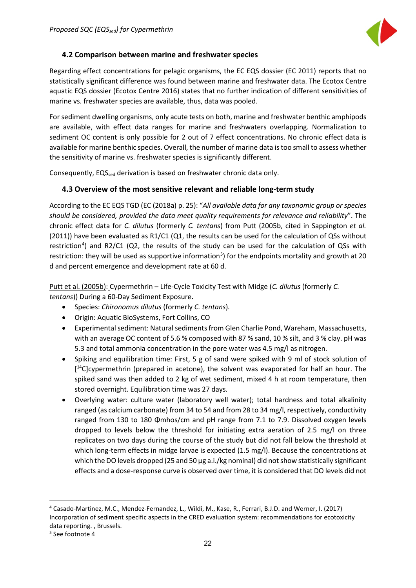

### <span id="page-22-0"></span>**4.2 Comparison between marine and freshwater species**

Regarding effect concentrations for pelagic organisms, the EC EQS dossier (EC 2011) reports that no statistically significant difference was found between marine and freshwater data. The Ecotox Centre aquatic EQS dossier (Ecotox Centre 2016) states that no further indication of different sensitivities of marine vs. freshwater species are available, thus, data was pooled.

For sediment dwelling organisms, only acute tests on both, marine and freshwater benthic amphipods are available, with effect data ranges for marine and freshwaters overlapping. Normalization to sediment OC content is only possible for 2 out of 7 effect concentrations. No chronic effect data is available for marine benthic species. Overall, the number of marine data is too small to assess whether the sensitivity of marine vs. freshwater species is significantly different.

Consequently, EQS<sub>sed</sub> derivation is based on freshwater chronic data only.

### <span id="page-22-1"></span>**4.3 Overview of the most sensitive relevant and reliable long-term study**

According to the EC EQS TGD (EC (2018a) p. 25): "*All available data for any taxonomic group or species should be considered, provided the data meet quality requirements for relevance and reliability*". The chronic effect data for *C. dilutus* (formerly *C. tentans*) from Putt (2005b, cited in Sappington *et al.* (2011)) have been evaluated as R1/C1 (Q1, the results can be used for the calculation of QSs without restriction<sup>4</sup>) and R2/C1 (Q2, the results of the study can be used for the calculation of QSs with restriction: they will be used as supportive information<sup>[5](#page-22-3)</sup>) for the endpoints mortality and growth at 20 d and percent emergence and development rate at 60 d.

Putt et al. (2005b): Cypermethrin – Life-Cycle Toxicity Test with Midge (*C. dilutus* (formerly *C. tentans*)) During a 60-Day Sediment Exposure.

- Species: *Chironomus dilutus* (formerly *C. tentans*)*.*
- Origin: Aquatic BioSystems, Fort Collins, CO
- Experimental sediment: Natural sediments from Glen Charlie Pond, Wareham, Massachusetts, with an average OC content of 5.6 % composed with 87 % sand, 10 % silt, and 3 % clay. pH was 5.3 and total ammonia concentration in the pore water was 4.5 mg/l as nitrogen.
- Spiking and equilibration time: First, 5 g of sand were spiked with 9 ml of stock solution of [<sup>14</sup>C]cypermethrin (prepared in acetone), the solvent was evaporated for half an hour. The spiked sand was then added to 2 kg of wet sediment, mixed 4 h at room temperature, then stored overnight. Equilibration time was 27 days.
- Overlying water: culture water (laboratory well water); total hardness and total alkalinity ranged (as calcium carbonate) from 34 to 54 and from 28 to 34 mg/l, respectively, conductivity ranged from 130 to 180 Φmhos/cm and pH range from 7.1 to 7.9. Dissolved oxygen levels dropped to levels below the threshold for initiating extra aeration of 2.5 mg/l on three replicates on two days during the course of the study but did not fall below the threshold at which long-term effects in midge larvae is expected (1.5 mg/l). Because the concentrations at which the DO levels dropped (25 and 50 µg a.i./kg nominal) did not show statistically significant effects and a dose-response curve is observed over time, it is considered that DO levels did not

 $\overline{a}$ 

<span id="page-22-2"></span><sup>4</sup> Casado-Martinez, M.C., Mendez-Fernandez, L., Wildi, M., Kase, R., Ferrari, B.J.D. and Werner, I. (2017) Incorporation of sediment specific aspects in the CRED evaluation system: recommendations for ecotoxicity data reporting. , Brussels.

<span id="page-22-3"></span><sup>5</sup> See footnote 4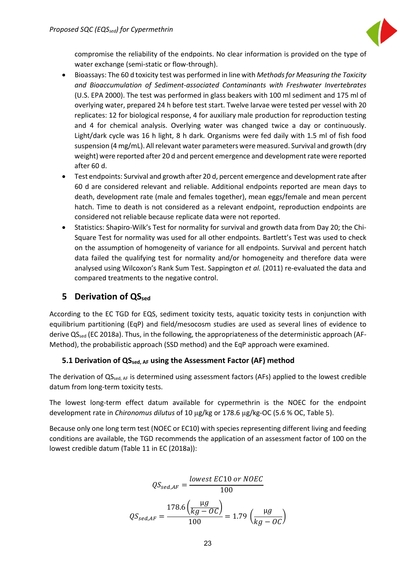

compromise the reliability of the endpoints. No clear information is provided on the type of water exchange (semi-static or flow-through).

- Bioassays: The 60 d toxicity test was performed in line with *Methods for Measuring the Toxicity and Bioaccumulation of Sediment-associated Contaminants with Freshwater Invertebrates* (U.S. EPA 2000). The test was performed in glass beakers with 100 ml sediment and 175 ml of overlying water, prepared 24 h before test start. Twelve larvae were tested per vessel with 20 replicates: 12 for biological response, 4 for auxiliary male production for reproduction testing and 4 for chemical analysis. Overlying water was changed twice a day or continuously. Light/dark cycle was 16 h light, 8 h dark. Organisms were fed daily with 1.5 ml of fish food suspension (4 mg/mL). All relevant water parameters were measured. Survival and growth (dry weight) were reported after 20 d and percent emergence and development rate were reported after 60 d.
- Test endpoints: Survival and growth after 20 d, percent emergence and development rate after 60 d are considered relevant and reliable. Additional endpoints reported are mean days to death, development rate (male and females together), mean eggs/female and mean percent hatch. Time to death is not considered as a relevant endpoint, reproduction endpoints are considered not reliable because replicate data were not reported.
- Statistics: Shapiro-Wilk's Test for normality for survival and growth data from Day 20; the Chi-Square Test for normality was used for all other endpoints. Bartlett's Test was used to check on the assumption of homogeneity of variance for all endpoints. Survival and percent hatch data failed the qualifying test for normality and/or homogeneity and therefore data were analysed using Wilcoxon's Rank Sum Test. Sappington *et al.* (2011) re-evaluated the data and compared treatments to the negative control.

### <span id="page-23-0"></span>**5 Derivation of QS**<sub>sed</sub>

According to the EC TGD for EQS, sediment toxicity tests, aquatic toxicity tests in conjunction with equilibrium partitioning (EqP) and field/mesocosm studies are used as several lines of evidence to derive QS<sub>sed</sub> (EC 2018a). Thus, in the following, the appropriateness of the deterministic approach (AF-Method), the probabilistic approach (SSD method) and the EqP approach were examined.

### <span id="page-23-1"></span>**5.1 Derivation of QSsed, AF using the Assessment Factor (AF) method**

The derivation of QS<sub>sed, AF</sub> is determined using assessment factors (AFs) applied to the lowest credible datum from long-term toxicity tests.

The lowest long-term effect datum available for cypermethrin is the NOEC for the endpoint development rate in *Chironomus dilutus* of 10 µg/kg or 178.6 µg/kg-OC (5.6 % OC, Table 5).

Because only one long term test (NOEC or EC10) with species representing different living and feeding conditions are available, the TGD recommends the application of an assessment factor of 100 on the lowest credible datum (Table 11 in EC (2018a)):

$$
QS_{sed,AF} = \frac{lowest \ EC10 \ or \ NOEC}{100}
$$

$$
QS_{sed,AF} = \frac{178.6 \left(\frac{\mu g}{kg - OC}\right)}{100} = 1.79 \left(\frac{\mu g}{kg - OC}\right)
$$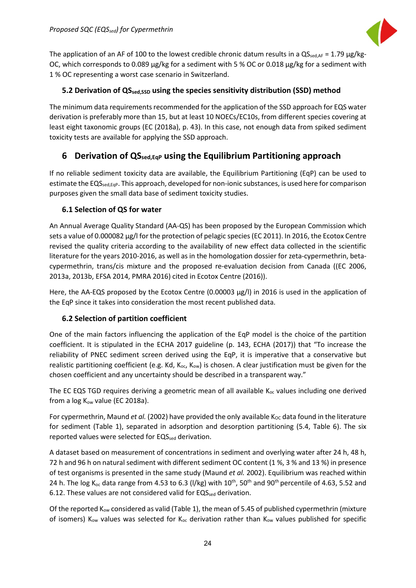

The application of an AF of 100 to the lowest credible chronic datum results in a  $QS_{\text{sed,AF}} = 1.79 \mu g/kg$ OC, which corresponds to 0.089 µg/kg for a sediment with 5 % OC or 0.018 µg/kg for a sediment with 1 % OC representing a worst case scenario in Switzerland.

### <span id="page-24-0"></span>**5.2 Derivation of QSsed,SSD using the species sensitivity distribution (SSD) method**

The minimum data requirements recommended for the application of the SSD approach for EQS water derivation is preferably more than 15, but at least 10 NOECs/EC10s, from different species covering at least eight taxonomic groups (EC (2018a), p. 43). In this case, not enough data from spiked sediment toxicity tests are available for applying the SSD approach.

### <span id="page-24-1"></span>**6 Derivation of QSsed,EqP using the Equilibrium Partitioning approach**

If no reliable sediment toxicity data are available, the Equilibrium Partitioning (EqP) can be used to estimate the EQS<sub>sed,Eqp</sub>. This approach, developed for non-ionic substances, is used here for comparison purposes given the small data base of sediment toxicity studies.

### <span id="page-24-2"></span>**6.1 Selection of QS for water**

An Annual Average Quality Standard (AA-QS) has been proposed by the European Commission which sets a value of 0.000082 µg/l for the protection of pelagic species (EC 2011). In 2016, the Ecotox Centre revised the quality criteria according to the availability of new effect data collected in the scientific literature for the years 2010-2016, as well as in the homologation dossier for zeta-cypermethrin, betacypermethrin, trans/cis mixture and the proposed re-evaluation decision from Canada ((EC 2006, 2013a, 2013b, EFSA 2014, PMRA 2016) cited in Ecotox Centre (2016)).

Here, the AA-EQS proposed by the Ecotox Centre (0.00003 μg/l) in 2016 is used in the application of the EqP since it takes into consideration the most recent published data.

### <span id="page-24-3"></span>**6.2 Selection of partition coefficient**

One of the main factors influencing the application of the EqP model is the choice of the partition coefficient. It is stipulated in the ECHA 2017 guideline (p. 143, ECHA (2017)) that "To increase the reliability of PNEC sediment screen derived using the EqP, it is imperative that a conservative but realistic partitioning coefficient (e.g. Kd, K<sub>oc</sub>, K<sub>ow</sub>) is chosen. A clear justification must be given for the chosen coefficient and any uncertainty should be described in a transparent way."

The EC EQS TGD requires deriving a geometric mean of all available  $K_{oc}$  values including one derived from a  $log K_{ow}$  value (EC 2018a).

For cypermethrin, Maund *et al.* (2002) have provided the only available  $K_{OC}$  data found in the literature for sediment (Table 1), separated in adsorption and desorption partitioning (5.4, Table 6). The six reported values were selected for EQS<sub>sed</sub> derivation.

A dataset based on measurement of concentrations in sediment and overlying water after 24 h, 48 h, 72 h and 96 h on natural sediment with different sediment OC content (1 %, 3 % and 13 %) in presence of test organisms is presented in the same study (Maund *et al.* 2002). Equilibrium was reached within 24 h. The log K<sub>oc</sub> data range from 4.53 to 6.3 (I/kg) with  $10^{th}$ , 50<sup>th</sup> and 90<sup>th</sup> percentile of 4.63, 5.52 and 6.12. These values are not considered valid for  $EQS_{\text{sed}}$  derivation.

Of the reported  $K_{ow}$  considered as valid (Table 1), the mean of 5.45 of published cypermethrin (mixture of isomers) K<sub>ow</sub> values was selected for K<sub>oc</sub> derivation rather than K<sub>ow</sub> values published for specific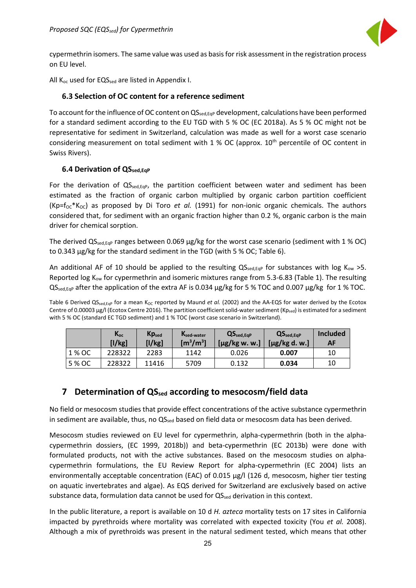

cypermethrin isomers. The same value was used as basis for risk assessment in the registration process on EU level.

All  $K_{oc}$  used for EQS<sub>sed</sub> are listed in Appendix I.

#### <span id="page-25-0"></span>**6.3 Selection of OC content for a reference sediment**

To account for the influence of OC content on QS<sub>sed,Eqp</sub> development, calculations have been performed for a standard sediment according to the EU TGD with 5 % OC (EC 2018a). As 5 % OC might not be representative for sediment in Switzerland, calculation was made as well for a worst case scenario considering measurement on total sediment with  $1\%$  OC (approx.  $10<sup>th</sup>$  percentile of OC content in Swiss Rivers).

### <span id="page-25-1"></span>**6.4 Derivation of QSsed,EqP**

For the derivation of  $QS_{\text{sed,EqP}}$ , the partition coefficient between water and sediment has been estimated as the fraction of organic carbon multiplied by organic carbon partition coefficient (Kp=f<sub>oc</sub>\*K<sub>oc</sub>) as proposed by Di Toro *et al.* (1991) for non-ionic organic chemicals. The authors considered that, for sediment with an organic fraction higher than 0.2 %, organic carbon is the main driver for chemical sorption.

The derived  $QS_{\text{sed,EqP}}$  ranges between 0.069  $\mu$ g/kg for the worst case scenario (sediment with 1 % OC) to 0.343 µg/kg for the standard sediment in the TGD (with 5 % OC; Table 6).

An additional AF of 10 should be applied to the resulting  $QS_{\text{sed,EqP}}$  for substances with log K<sub>ow</sub> >5. Reported log  $K_{ow}$  for cypermethrin and isomeric mixtures range from 5.3-6.83 (Table 1). The resulting  $QS_{\text{sed,EqP}}$  after the application of the extra AF is 0.034  $\mu$ g/kg for 5 % TOC and 0.007  $\mu$ g/kg for 1 % TOC.

Table 6 Derived QS<sub>sed,Eqp</sub> for a mean K<sub>OC</sub> reported by Maund *et al.* (2002) and the AA-EQS for water derived by the Ecotox Centre of 0.00003 µg/l (Ecotox Centre 2016). The partition coefficient solid-water sediment (Kpsed) is estimated for a sediment with 5 % OC (standard EC TGD sediment) and 1 % TOC (worst case scenario in Switzerland).

|        | $K_{oc}$<br>[1/kg] | Kp <sub>sed</sub><br>[1/kg] | Ksed-water<br>$\mathrm{[m^3/m^3]}$ | QS <sub>sed,EqP</sub><br>$[\mu$ g/kg w. w.] | QS <sub>sed,EqP</sub><br>$[\mu$ g/kg d. w.] | <b>Included</b><br>AF |
|--------|--------------------|-----------------------------|------------------------------------|---------------------------------------------|---------------------------------------------|-----------------------|
| 1 % OC | 228322             | 2283                        | 1142                               | 0.026                                       | 0.007                                       | 10                    |
| 5 % OC | 228322             | 11416                       | 5709                               | 0.132                                       | 0.034                                       | 10                    |

### <span id="page-25-2"></span>**7 Determination of QS**<sub>sed</sub> according to mesocosm/field data

No field or mesocosm studies that provide effect concentrations of the active substance cypermethrin in sediment are available, thus, no QS<sub>sed</sub> based on field data or mesocosm data has been derived.

Mesocosm studies reviewed on EU level for cypermethrin, alpha-cypermethrin (both in the alphacypermethrin dossiers, (EC 1999, 2018b)) and beta-cypermethrin (EC 2013b) were done with formulated products, not with the active substances. Based on the mesocosm studies on alphacypermethrin formulations, the EU Review Report for alpha-cypermethrin (EC 2004) lists an environmentally acceptable concentration (EAC) of 0.015 μg/l (126 d, mesocosm, higher tier testing on aquatic invertebrates and algae). As EQS derived for Switzerland are exclusively based on active substance data, formulation data cannot be used for  $QS_{\text{sed}}$  derivation in this context.

In the public literature, a report is available on 10 d *H. azteca* mortality tests on 17 sites in California impacted by pyrethroids where mortality was correlated with expected toxicity (You *et al.* 2008). Although a mix of pyrethroids was present in the natural sediment tested, which means that other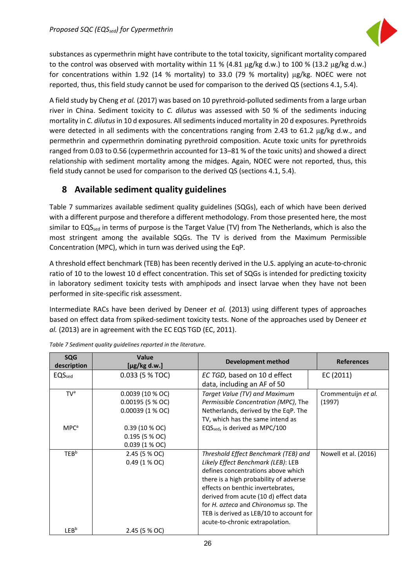

substances as cypermethrin might have contribute to the total toxicity, significant mortality compared to the control was observed with mortality within 11 % (4.81 µg/kg d.w.) to 100 % (13.2 µg/kg d.w.) for concentrations within 1.92 (14 % mortality) to 33.0 (79 % mortality) µg/kg. NOEC were not reported, thus, this field study cannot be used for comparison to the derived QS (sections 4.1, 5.4).

A field study by Cheng *et al.* (2017) was based on 10 pyrethroid-polluted sediments from a large urban river in China. Sediment toxicity to *C. dilutus* was assessed with 50 % of the sediments inducing mortality in *C. dilutus*in 10 d exposures. All sediments induced mortality in 20 d exposures. Pyrethroids were detected in all sediments with the concentrations ranging from 2.43 to 61.2 µg/kg d.w., and permethrin and cypermethrin dominating pyrethroid composition. Acute toxic units for pyrethroids ranged from 0.03 to 0.56 (cypermethrin accounted for 13–81 % of the toxic units) and showed a direct relationship with sediment mortality among the midges. Again, NOEC were not reported, thus, this field study cannot be used for comparison to the derived QS (sections 4.1, 5.4).

### <span id="page-26-0"></span>**8 Available sediment quality guidelines**

Table 7 summarizes available sediment quality guidelines (SQGs), each of which have been derived with a different purpose and therefore a different methodology. From those presented here, the most similar to EQS<sub>sed</sub> in terms of purpose is the Target Value (TV) from The Netherlands, which is also the most stringent among the available SQGs. The TV is derived from the Maximum Permissible Concentration (MPC), which in turn was derived using the EqP.

A threshold effect benchmark (TEB) has been recently derived in the U.S. applying an acute-to-chronic ratio of 10 to the lowest 10 d effect concentration. This set of SQGs is intended for predicting toxicity in laboratory sediment toxicity tests with amphipods and insect larvae when they have not been performed in site-specific risk assessment.

Intermediate RACs have been derived by Deneer *et al.* (2013) using different types of approaches based on effect data from spiked-sediment toxicity tests. None of the approaches used by Deneer *et al.* (2013) are in agreement with the EC EQS TGD (EC, 2011).

| <b>SQG</b><br>description | <b>Value</b><br>$[\mu$ g/kg d.w.] | <b>Development method</b>                          | <b>References</b>    |
|---------------------------|-----------------------------------|----------------------------------------------------|----------------------|
| EQS <sub>sed</sub>        | 0.033 (5 % TOC)                   | EC TGD, based on 10 d effect                       | EC (2011)            |
|                           |                                   | data, including an AF of 50                        |                      |
| TV <sup>a</sup>           | 0.0039(10 % OC)                   | Target Value (TV) and Maximum                      | Crommentuijn et al.  |
|                           | $0.00195$ (5 % OC)                | Permissible Concentration (MPC), The               | (1997)               |
|                           | $0.00039(1%$ OC)                  | Netherlands, derived by the EqP. The               |                      |
|                           |                                   | TV, which has the same intend as                   |                      |
| MPC <sup>a</sup>          | 0.39(10 % OC)                     | EQS <sub>sed</sub> , is derived as MPC/100         |                      |
|                           | 0.195 (5 % OC)                    |                                                    |                      |
|                           | $0.039(1 % ^{\circ}\n0C)$         |                                                    |                      |
| <b>TEB</b> <sup>b</sup>   | 2.45 (5 % OC)                     | Threshold Effect Benchmark (TEB) and               | Nowell et al. (2016) |
|                           | $0.49(1%$ OC)                     | Likely Effect Benchmark (LEB): LEB                 |                      |
|                           |                                   | defines concentrations above which                 |                      |
|                           |                                   | there is a high probability of adverse             |                      |
|                           |                                   | effects on benthic invertebrates.                  |                      |
|                           |                                   | derived from acute (10 d) effect data              |                      |
|                           |                                   | for <i>H. azteca</i> and <i>Chironomus</i> sp. The |                      |
|                           |                                   | TEB is derived as LEB/10 to account for            |                      |
|                           |                                   | acute-to-chronic extrapolation.                    |                      |
| LEBb                      | 2.45 (5 % OC)                     |                                                    |                      |

*Table 7 Sediment quality guidelines reported in the literature.*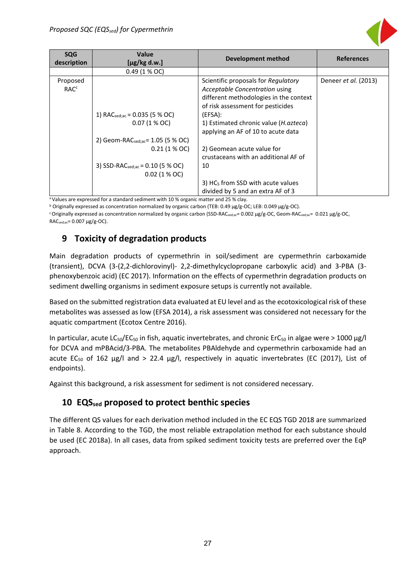

| <b>SQG</b><br>description | <b>Value</b><br>$[\mu$ g/kg d.w.]             | <b>Development method</b>                       | <b>References</b>           |
|---------------------------|-----------------------------------------------|-------------------------------------------------|-----------------------------|
|                           | 0.49 (1 % OC)                                 |                                                 |                             |
| Proposed                  |                                               | Scientific proposals for Regulatory             | Deneer <i>et al.</i> (2013) |
| <b>RAC<sup>c</sup></b>    |                                               | Acceptable Concentration using                  |                             |
|                           |                                               | different methodologies in the context          |                             |
|                           |                                               | of risk assessment for pesticides               |                             |
|                           | 1) RAC $_{\text{sed};ac}$ = 0.035 (5 % OC)    | (EFSA):                                         |                             |
|                           | $0.07(1%$ OC)                                 | 1) Estimated chronic value ( <i>H. azteca</i> ) |                             |
|                           |                                               | applying an AF of 10 to acute data              |                             |
|                           | 2) Geom-RACsed;ac= 1.05 (5 % OC)              |                                                 |                             |
|                           | $0.21(1%$ OC                                  | 2) Geomean acute value for                      |                             |
|                           |                                               | crustaceans with an additional AF of            |                             |
|                           | 3) SSD-RAC $_{\text{sed};ac}$ = 0.10 (5 % OC) | 10                                              |                             |
|                           | $0.02$ (1 % OC)                               |                                                 |                             |
|                           |                                               | 3) HC <sub>5</sub> from SSD with acute values   |                             |
|                           |                                               | divided by 5 and an extra AF of 3               |                             |

a Values are expressed for a standard sediment with 10 % organic matter and 25 % clay.

<sup>b</sup> Originally expressed as concentration normalized by organic carbon (TEB: 0.49 µg/g-OC; LEB: 0.049 µg/g-OC).

<span id="page-27-0"></span><sup>c</sup> Originally expressed as concentration normalized by organic carbon (SSD-RACsed;ac= 0.002 µg/g-OC, Geom-RACsed;ac= 0.021 µg/g-OC,  $RAC_{\text{sed};ac} = 0.007 \mu g / g \text{-OC}.$ 

### **9 Toxicity of degradation products**

Main degradation products of cypermethrin in soil/sediment are cypermethrin carboxamide (transient), DCVA (3-(2,2-dichlorovinyl)- 2,2-dimethylcyclopropane carboxylic acid) and 3-PBA (3 phenoxybenzoic acid) (EC 2017). Information on the effects of cypermethrin degradation products on sediment dwelling organisms in sediment exposure setups is currently not available.

Based on the submitted registration data evaluated at EU level and as the ecotoxicological risk of these metabolites was assessed as low (EFSA 2014), a risk assessment was considered not necessary for the aquatic compartment (Ecotox Centre 2016).

In particular, acute LC<sub>50</sub>/EC<sub>50</sub> in fish, aquatic invertebrates, and chronic ErC<sub>50</sub> in algae were > 1000 μg/l for DCVA and mPBAcid/3-PBA. The metabolites PBAldehyde and cypermethrin carboxamide had an acute EC<sub>50</sub> of 162 μg/l and > 22.4 μg/l, respectively in aquatic invertebrates (EC (2017), List of endpoints).

Against this background, a risk assessment for sediment is not considered necessary.

### <span id="page-27-1"></span>**10 EQSsed proposed to protect benthic species**

The different QS values for each derivation method included in the EC EQS TGD 2018 are summarized in Table 8. According to the TGD, the most reliable extrapolation method for each substance should be used (EC 2018a). In all cases, data from spiked sediment toxicity tests are preferred over the EqP approach.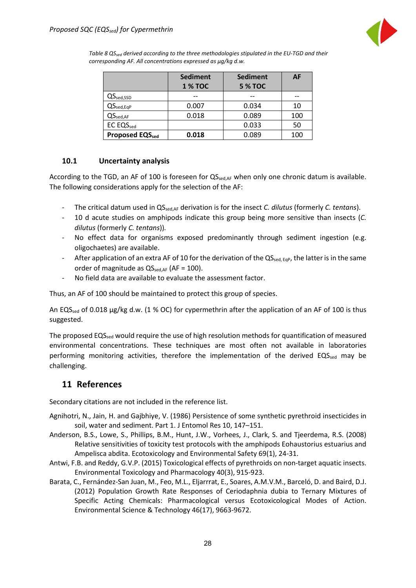

*Table 8 QSsed derived according to the three methodologies stipulated in the EU-TGD and their corresponding AF. All concentrations expressed as µg/kg d.w.* 

|                              | <b>Sediment</b><br><b>1 % TOC</b> | <b>Sediment</b><br><b>5 % TOC</b> | AF  |
|------------------------------|-----------------------------------|-----------------------------------|-----|
| $QS_{\text{sed,SSD}}$        |                                   |                                   |     |
| $QS_{\text{sed},\text{EqP}}$ | 0.007                             | 0.034                             | 10  |
| $QS_{\text{sed,AF}}$         | 0.018                             | 0.089                             | 100 |
| <b>EC EQSsed</b>             |                                   | 0.033                             | 50  |
| <b>Proposed EQSsed</b>       | 0.018                             | 0.089                             | 100 |

### <span id="page-28-0"></span>**10.1 Uncertainty analysis**

According to the TGD, an AF of 100 is foreseen for  $QS_{\text{sed,AF}}$  when only one chronic datum is available. The following considerations apply for the selection of the AF:

- The critical datum used in QSsed,AF derivation is for the insect *C. dilutus* (formerly *C. tentans*).
- 10 d acute studies on amphipods indicate this group being more sensitive than insects (*C. dilutus* (formerly *C. tentans*))*.*
- No effect data for organisms exposed predominantly through sediment ingestion (e.g. oligochaetes) are available.
- After application of an extra AF of 10 for the derivation of the QS<sub>sed, EqP</sub>, the latter is in the same order of magnitude as  $QS_{\text{sed,AF}}$  (AF = 100).
- No field data are available to evaluate the assessment factor.

Thus, an AF of 100 should be maintained to protect this group of species.

An EQS<sub>sed</sub> of 0.018  $\mu$ g/kg d.w. (1 % OC) for cypermethrin after the application of an AF of 100 is thus suggested.

The proposed EQS<sub>sed</sub> would require the use of high resolution methods for quantification of measured environmental concentrations. These techniques are most often not available in laboratories performing monitoring activities, therefore the implementation of the derived EQSsed may be challenging.

### <span id="page-28-1"></span>**11 References**

Secondary citations are not included in the reference list.

- Agnihotri, N., Jain, H. and Gajbhiye, V. (1986) Persistence of some synthetic pyrethroid insecticides in soil, water and sediment. Part 1. J Entomol Res 10, 147–151.
- Anderson, B.S., Lowe, S., Phillips, B.M., Hunt, J.W., Vorhees, J., Clark, S. and Tjeerdema, R.S. (2008) Relative sensitivities of toxicity test protocols with the amphipods Eohaustorius estuarius and Ampelisca abdita. Ecotoxicology and Environmental Safety 69(1), 24-31.
- Antwi, F.B. and Reddy, G.V.P. (2015) Toxicological effects of pyrethroids on non-target aquatic insects. Environmental Toxicology and Pharmacology 40(3), 915-923.
- Barata, C., Fernández-San Juan, M., Feo, M.L., Eljarrrat, E., Soares, A.M.V.M., Barceló, D. and Baird, D.J. (2012) Population Growth Rate Responses of Ceriodaphnia dubia to Ternary Mixtures of Specific Acting Chemicals: Pharmacological versus Ecotoxicological Modes of Action. Environmental Science & Technology 46(17), 9663-9672.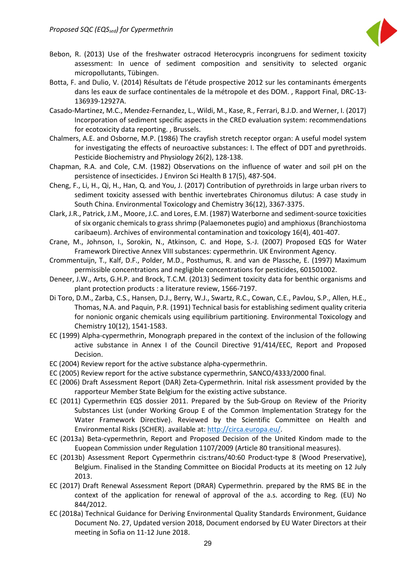

- Bebon, R. (2013) Use of the freshwater ostracod Heterocypris incongruens for sediment toxicity assessment: In uence of sediment composition and sensitivity to selected organic micropollutants, Tübingen.
- Botta, F. and Dulio, V. (2014) Résultats de l'étude prospective 2012 sur les contaminants émergents dans les eaux de surface continentales de la métropole et des DOM. , Rapport Final, DRC-13- 136939-12927A.
- Casado-Martinez, M.C., Mendez-Fernandez, L., Wildi, M., Kase, R., Ferrari, B.J.D. and Werner, I. (2017) Incorporation of sediment specific aspects in the CRED evaluation system: recommendations for ecotoxicity data reporting. , Brussels.
- Chalmers, A.E. and Osborne, M.P. (1986) The crayfish stretch receptor organ: A useful model system for investigating the effects of neuroactive substances: I. The effect of DDT and pyrethroids. Pesticide Biochemistry and Physiology 26(2), 128-138.
- Chapman, R.A. and Cole, C.M. (1982) Observations on the influence of water and soil pH on the persistence of insecticides. J Environ Sci Health B 17(5), 487-504.
- Cheng, F., Li, H., Qi, H., Han, Q. and You, J. (2017) Contribution of pyrethroids in large urban rivers to sediment toxicity assessed with benthic invertebrates Chironomus dilutus: A case study in South China. Environmental Toxicology and Chemistry 36(12), 3367-3375.
- Clark, J.R., Patrick, J.M., Moore, J.C. and Lores, E.M. (1987) Waterborne and sediment-source toxicities of six organic chemicals to grass shrimp (Palaemonetes pugio) and amphioxus (Branchiostoma caribaeum). Archives of environmental contamination and toxicology 16(4), 401-407.
- Crane, M., Johnson, I., Sorokin, N., Atkinson, C. and Hope, S.-J. (2007) Proposed EQS for Water Framework Directive Annex VIII substances: cypermethrin. UK Environment Agency.
- Crommentuijn, T., Kalf, D.F., Polder, M.D., Posthumus, R. and van de Plassche, E. (1997) Maximum permissible concentrations and negligible concentrations for pesticides, 601501002.
- Deneer, J.W., Arts, G.H.P. and Brock, T.C.M. (2013) Sediment toxicity data for benthic organisms and plant protection products : a literature review, 1566-7197.
- Di Toro, D.M., Zarba, C.S., Hansen, D.J., Berry, W.J., Swartz, R.C., Cowan, C.E., Pavlou, S.P., Allen, H.E., Thomas, N.A. and Paquin, P.R. (1991) Technical basis for establishing sediment quality criteria for nonionic organic chemicals using equilibrium partitioning. Environmental Toxicology and Chemistry 10(12), 1541-1583.
- EC (1999) Alpha-cypermethrin, Monograph prepared in the context of the inclusion of the following active substance in Annex I of the Council Directive 91/414/EEC, Report and Proposed Decision.
- EC (2004) Review report for the active substance alpha-cypermethrin.
- EC (2005) Review report for the active substance cypermethrin, SANCO/4333/2000 final.
- EC (2006) Draft Assessment Report (DAR) Zeta-Cypermethrin. Inital risk assessment provided by the rapporteur Member State Belgium for the existing active substance.
- EC (2011) Cypermethrin EQS dossier 2011. Prepared by the Sub-Group on Review of the Priority Substances List (under Working Group E of the Common Implementation Strategy for the Water Framework Directive). Reviewed by the Scientific Committee on Health and Environmental Risks (SCHER). available at: [http://circa.europa.eu/.](http://circa.europa.eu/)
- EC (2013a) Beta-cypermethrin, Report and Proposed Decision of the United Kindom made to the Euopean Commission under Regulation 1107/2009 (Article 80 transitional measures).
- EC (2013b) Assessment Report Cypermethrin cis:trans/40:60 Product-type 8 (Wood Preservative), Belgium. Finalised in the Standing Committee on Biocidal Products at its meeting on 12 July 2013.
- EC (2017) Draft Renewal Assessment Report (DRAR) Cypermethrin. prepared by the RMS BE in the context of the application for renewal of approval of the a.s. according to Reg. (EU) No 844/2012.
- EC (2018a) Technical Guidance for Deriving Environmental Quality Standards Environment, Guidance Document No. 27, Updated version 2018, Document endorsed by EU Water Directors at their meeting in Sofia on 11-12 June 2018.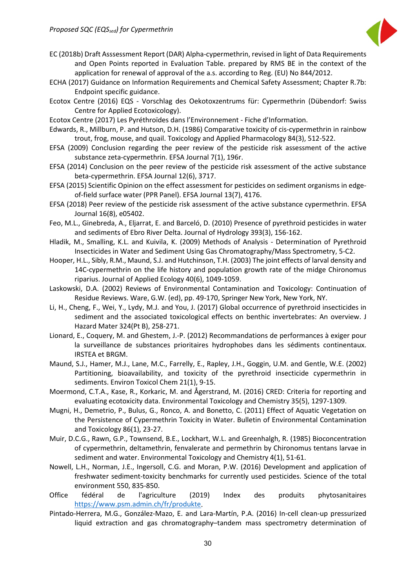

- EC (2018b) Draft Asssessment Report (DAR) Alpha-cypermethrin, revised in light of Data Requirements and Open Points reported in Evaluation Table. prepared by RMS BE in the context of the application for renewal of approval of the a.s. according to Reg. (EU) No 844/2012.
- ECHA (2017) Guidance on Information Requirements and Chemical Safety Assessment; Chapter R.7b: Endpoint specific guidance.
- Ecotox Centre (2016) EQS Vorschlag des Oekotoxzentrums für: Cypermethrin (Dübendorf: Swiss Centre for Applied Ecotoxicology).
- Ecotox Centre (2017) Les Pyréthroïdes dans l'Environnement Fiche d'Information.
- Edwards, R., Millburn, P. and Hutson, D.H. (1986) Comparative toxicity of cis-cypermethrin in rainbow trout, frog, mouse, and quail. Toxicology and Applied Pharmacology 84(3), 512-522.
- EFSA (2009) Conclusion regarding the peer review of the pesticide risk assessment of the active substance zeta-cypermethrin. EFSA Journal 7(1), 196r.
- EFSA (2014) Conclusion on the peer review of the pesticide risk assessment of the active substance beta-cypermethrin. EFSA Journal 12(6), 3717.
- EFSA (2015) Scientific Opinion on the effect assessment for pesticides on sediment organisms in edgeof-field surface water (PPR Panel). EFSA Journal 13(7), 4176.
- EFSA (2018) Peer review of the pesticide risk assessment of the active substance cypermethrin. EFSA Journal 16(8), e05402.
- Feo, M.L., Ginebreda, A., Eljarrat, E. and Barceló, D. (2010) Presence of pyrethroid pesticides in water and sediments of Ebro River Delta. Journal of Hydrology 393(3), 156-162.
- Hladik, M., Smalling, K.L. and Kuivila, K. (2009) Methods of Analysis Determination of Pyrethroid Insecticides in Water and Sediment Using Gas Chromatography/Mass Spectrometry, 5-C2.
- Hooper, H.L., Sibly, R.M., Maund, S.J. and Hutchinson, T.H. (2003) The joint effects of larval density and 14C-cypermethrin on the life history and population growth rate of the midge Chironomus riparius. Journal of Applied Ecology 40(6), 1049-1059.
- Laskowski, D.A. (2002) Reviews of Environmental Contamination and Toxicology: Continuation of Residue Reviews. Ware, G.W. (ed), pp. 49-170, Springer New York, New York, NY.
- Li, H., Cheng, F., Wei, Y., Lydy, M.J. and You, J. (2017) Global occurrence of pyrethroid insecticides in sediment and the associated toxicological effects on benthic invertebrates: An overview. J Hazard Mater 324(Pt B), 258-271.
- Lionard, E., Coquery, M. and Ghestem, J.-P. (2012) Recommandations de performances à exiger pour la surveillance de substances prioritaires hydrophobes dans les sédiments continentaux. IRSTEA et BRGM.
- Maund, S.J., Hamer, M.J., Lane, M.C., Farrelly, E., Rapley, J.H., Goggin, U.M. and Gentle, W.E. (2002) Partitioning, bioavailability, and toxicity of the pyrethroid insecticide cypermethrin in sediments. Environ Toxicol Chem 21(1), 9-15.
- Moermond, C.T.A., Kase, R., Korkaric, M. and Ågerstrand, M. (2016) CRED: Criteria for reporting and evaluating ecotoxicity data. Environmental Toxicology and Chemistry 35(5), 1297-1309.
- Mugni, H., Demetrio, P., Bulus, G., Ronco, A. and Bonetto, C. (2011) Effect of Aquatic Vegetation on the Persistence of Cypermethrin Toxicity in Water. Bulletin of Environmental Contamination and Toxicology 86(1), 23-27.
- Muir, D.C.G., Rawn, G.P., Townsend, B.E., Lockhart, W.L. and Greenhalgh, R. (1985) Bioconcentration of cypermethrin, deltamethrin, fenvalerate and permethrin by Chironomus tentans larvae in sediment and water. Environmental Toxicology and Chemistry 4(1), 51-61.
- Nowell, L.H., Norman, J.E., Ingersoll, C.G. and Moran, P.W. (2016) Development and application of freshwater sediment-toxicity benchmarks for currently used pesticides. Science of the total environment 550, 835-850.
- Office fédéral de l'agriculture (2019) Index des produits phytosanitaires [https://www.psm.admin.ch/fr/produkte.](https://www.psm.admin.ch/fr/produkte)
- Pintado-Herrera, M.G., González-Mazo, E. and Lara-Martín, P.A. (2016) In-cell clean-up pressurized liquid extraction and gas chromatography–tandem mass spectrometry determination of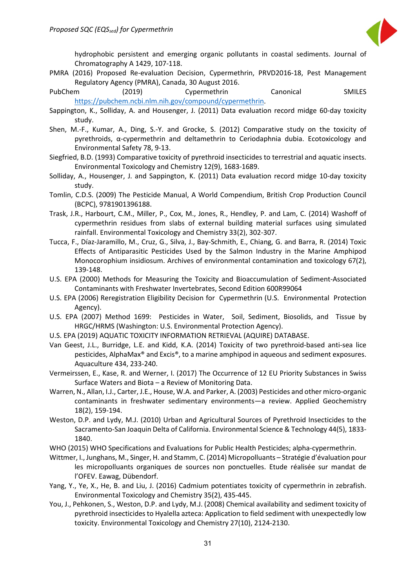

hydrophobic persistent and emerging organic pollutants in coastal sediments. Journal of Chromatography A 1429, 107-118.

- PMRA (2016) Proposed Re-evaluation Decision, Cypermethrin, PRVD2016-18, Pest Management Regulatory Agency (PMRA), Canada, 30 August 2016.
- PubChem (2019) Cypermethrin Canonical SMILES [https://pubchem.ncbi.nlm.nih.gov/compound/cypermethrin.](https://pubchem.ncbi.nlm.nih.gov/compound/cypermethrin)
- Sappington, K., Solliday, A. and Housenger, J. (2011) Data evaluation record midge 60-day toxicity study.
- Shen, M.-F., Kumar, A., Ding, S.-Y. and Grocke, S. (2012) Comparative study on the toxicity of pyrethroids, α-cypermethrin and deltamethrin to Ceriodaphnia dubia. Ecotoxicology and Environmental Safety 78, 9-13.
- Siegfried, B.D. (1993) Comparative toxicity of pyrethroid insecticides to terrestrial and aquatic insects. Environmental Toxicology and Chemistry 12(9), 1683-1689.
- Solliday, A., Housenger, J. and Sappington, K. (2011) Data evaluation record midge 10-day toxicity study.
- Tomlin, C.D.S. (2009) The Pesticide Manual, A World Compendium, British Crop Production Council (BCPC), 9781901396188.
- Trask, J.R., Harbourt, C.M., Miller, P., Cox, M., Jones, R., Hendley, P. and Lam, C. (2014) Washoff of cypermethrin residues from slabs of external building material surfaces using simulated rainfall. Environmental Toxicology and Chemistry 33(2), 302-307.
- Tucca, F., Díaz-Jaramillo, M., Cruz, G., Silva, J., Bay-Schmith, E., Chiang, G. and Barra, R. (2014) Toxic Effects of Antiparasitic Pesticides Used by the Salmon Industry in the Marine Amphipod Monocorophium insidiosum. Archives of environmental contamination and toxicology 67(2), 139-148.
- U.S. EPA (2000) Methods for Measuring the Toxicity and Bioaccumulation of Sediment-Associated Contaminants with Freshwater Invertebrates, Second Edition 600R99064
- U.S. EPA (2006) Reregistration Eligibility Decision for Cypermethrin (U.S. Environmental Protection Agency).
- U.S. EPA (2007) Method 1699: Pesticides in Water, Soil, Sediment, Biosolids, and Tissue by HRGC/HRMS (Washington: U.S. Environmental Protection Agency).
- U.S. EPA (2019) AQUATIC TOXICITY INFORMATION RETRIEVAL (AQUIRE) DATABASE.
- Van Geest, J.L., Burridge, L.E. and Kidd, K.A. (2014) Toxicity of two pyrethroid-based anti-sea lice pesticides, AlphaMax® and Excis®, to a marine amphipod in aqueous and sediment exposures. Aquaculture 434, 233-240.
- Vermeirssen, E., Kase, R. and Werner, I. (2017) The Occurrence of 12 EU Priority Substances in Swiss Surface Waters and Biota – a Review of Monitoring Data.
- Warren, N., Allan, I.J., Carter, J.E., House, W.A. and Parker, A. (2003) Pesticides and other micro-organic contaminants in freshwater sedimentary environments—a review. Applied Geochemistry 18(2), 159-194.
- Weston, D.P. and Lydy, M.J. (2010) Urban and Agricultural Sources of Pyrethroid Insecticides to the Sacramento-San Joaquin Delta of California. Environmental Science & Technology 44(5), 1833- 1840.
- WHO (2015) WHO Specifications and Evaluations for Public Health Pesticides; alpha-cypermethrin.
- Wittmer, I., Junghans, M., Singer, H. and Stamm, C. (2014) Micropolluants Stratégie d'évaluation pour les micropolluants organiques de sources non ponctuelles. Etude réalisée sur mandat de l'OFEV. Eawag, Dübendorf.
- Yang, Y., Ye, X., He, B. and Liu, J. (2016) Cadmium potentiates toxicity of cypermethrin in zebrafish. Environmental Toxicology and Chemistry 35(2), 435-445.
- You, J., Pehkonen, S., Weston, D.P. and Lydy, M.J. (2008) Chemical availability and sediment toxicity of pyrethroid insecticides to Hyalella azteca: Application to field sediment with unexpectedly low toxicity. Environmental Toxicology and Chemistry 27(10), 2124-2130.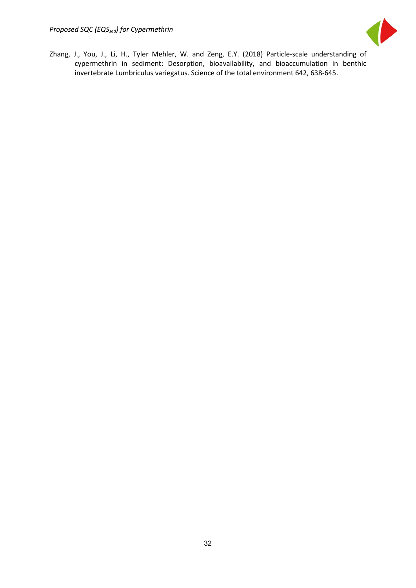

Zhang, J., You, J., Li, H., Tyler Mehler, W. and Zeng, E.Y. (2018) Particle-scale understanding of cypermethrin in sediment: Desorption, bioavailability, and bioaccumulation in benthic invertebrate Lumbriculus variegatus. Science of the total environment 642, 638-645.